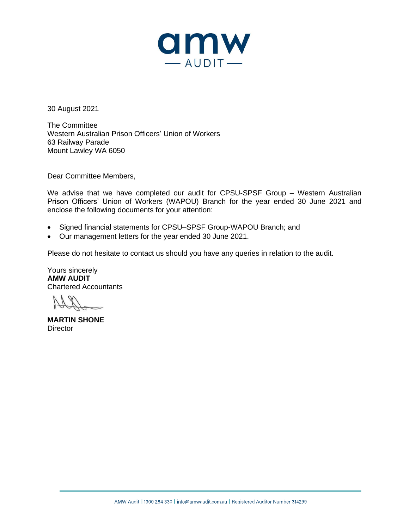

30 August 2021

The Committee Western Australian Prison Officers' Union of Workers 63 Railway Parade Mount Lawley WA 6050

Dear Committee Members,

We advise that we have completed our audit for CPSU-SPSF Group – Western Australian Prison Officers' Union of Workers (WAPOU) Branch for the year ended 30 June 2021 and enclose the following documents for your attention:

- Signed financial statements for CPSU–SPSF Group-WAPOU Branch; and
- Our management letters for the year ended 30 June 2021.

Please do not hesitate to contact us should you have any queries in relation to the audit.

Yours sincerely **AMW AUDIT** Chartered Accountants

**MARTIN SHONE Director**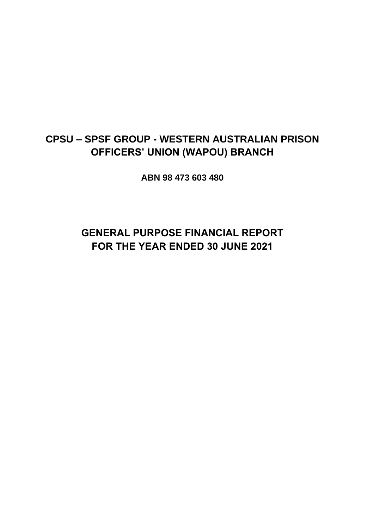## **CPSU – SPSF GROUP - WESTERN AUSTRALIAN PRISON OFFICERS' UNION (WAPOU) BRANCH**

**ABN 98 473 603 480**

# **GENERAL PURPOSE FINANCIAL REPORT FOR THE YEAR ENDED 30 JUNE 2021**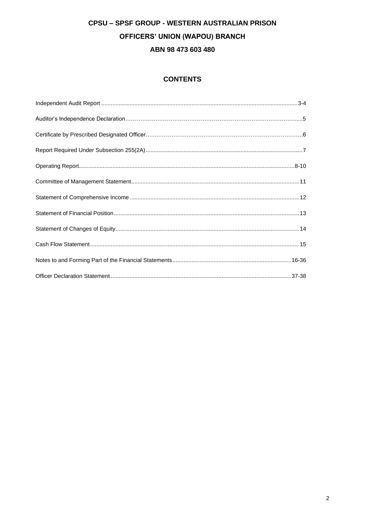## **CPSU - SPSF GROUP - WESTERN AUSTRALIAN PRISON OFFICERS' UNION (WAPOU) BRANCH** ABN 98 473 603 480

### **CONTENTS**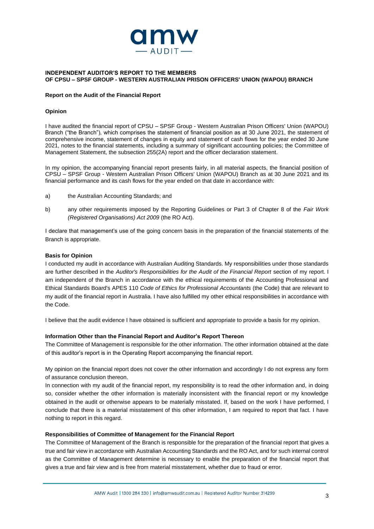

#### **INDEPENDENT AUDITOR'S REPORT TO THE MEMBERS OF CPSU – SPSF GROUP - WESTERN AUSTRALIAN PRISON OFFICERS' UNION (WAPOU) BRANCH**

#### **Report on the Audit of the Financial Report**

#### **Opinion**

I have audited the financial report of CPSU – SPSF Group - Western Australian Prison Officers' Union (WAPOU) Branch ("the Branch"), which comprises the statement of financial position as at 30 June 2021, the statement of comprehensive income, statement of changes in equity and statement of cash flows for the year ended 30 June 2021, notes to the financial statements, including a summary of significant accounting policies; the Committee of Management Statement, the subsection 255(2A) report and the officer declaration statement.

In my opinion, the accompanying financial report presents fairly, in all material aspects, the financial position of CPSU – SPSF Group - Western Australian Prison Officers' Union (WAPOU) Branch as at 30 June 2021 and its financial performance and its cash flows for the year ended on that date in accordance with:

- a) the Australian Accounting Standards; and
- b) any other requirements imposed by the Reporting Guidelines or Part 3 of Chapter 8 of the *Fair Work (Registered Organisations) Act 2009* (the RO Act).

I declare that management's use of the going concern basis in the preparation of the financial statements of the Branch is appropriate.

#### **Basis for Opinion**

I conducted my audit in accordance with Australian Auditing Standards. My responsibilities under those standards are further described in the *Auditor's Responsibilities for the Audit of the Financial Report* section of my report. I am independent of the Branch in accordance with the ethical requirements of the Accounting Professional and Ethical Standards Board's APES 110 *Code of Ethics for Professional Accountants* (the Code) that are relevant to my audit of the financial report in Australia. I have also fulfilled my other ethical responsibilities in accordance with the Code.

I believe that the audit evidence I have obtained is sufficient and appropriate to provide a basis for my opinion.

#### **Information Other than the Financial Report and Auditor's Report Thereon**

The Committee of Management is responsible for the other information. The other information obtained at the date of this auditor's report is in the Operating Report accompanying the financial report.

My opinion on the financial report does not cover the other information and accordingly I do not express any form of assurance conclusion thereon.

In connection with my audit of the financial report, my responsibility is to read the other information and, in doing so, consider whether the other information is materially inconsistent with the financial report or my knowledge obtained in the audit or otherwise appears to be materially misstated. If, based on the work I have performed, I conclude that there is a material misstatement of this other information, I am required to report that fact. I have nothing to report in this regard.

#### **Responsibilities of Committee of Management for the Financial Report**

The Committee of Management of the Branch is responsible for the preparation of the financial report that gives a true and fair view in accordance with Australian Accounting Standards and the RO Act, and for such internal control as the Committee of Management determine is necessary to enable the preparation of the financial report that gives a true and fair view and is free from material misstatement, whether due to fraud or error.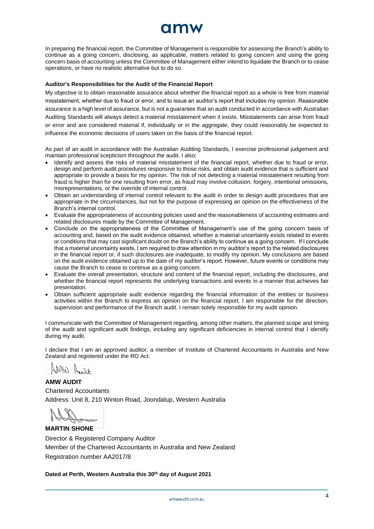In preparing the financial report, the Committee of Management is responsible for assessing the Branch's ability to continue as a going concern, disclosing, as applicable, matters related to going concern and using the going concern basis of accounting unless the Committee of Management either intend to liquidate the Branch or to cease operations, or have no realistic alternative but to do so.

#### **Auditor's Responsibilities for the Audit of the Financial Report**

My objective is to obtain reasonable assurance about whether the financial report as a whole is free from material misstatement, whether due to fraud or error, and to issue an auditor's report that includes my opinion. Reasonable assurance is a high level of assurance, but is not a guarantee that an audit conducted in accordance with Australian Auditing Standards will always detect a material misstatement when it exists. Misstatements can arise from fraud or error and are considered material if, individually or in the aggregate, they could reasonably be expected to influence the economic decisions of users taken on the basis of the financial report.

As part of an audit in accordance with the Australian Auditing Standards, I exercise professional judgement and maintain professional scepticism throughout the audit. I also:

- Identify and assess the risks of material misstatement of the financial report, whether due to fraud or error, design and perform audit procedures responsive to those risks, and obtain audit evidence that is sufficient and appropriate to provide a basis for my opinion. The risk of not detecting a material misstatement resulting from fraud is higher than for one resulting from error, as fraud may involve collusion, forgery, intentional omissions, misrepresentations, or the override of internal control.
- Obtain an understanding of internal control relevant to the audit in order to design audit procedures that are appropriate in the circumstances, but not for the purpose of expressing an opinion on the effectiveness of the Branch's internal control.
- Evaluate the appropriateness of accounting policies used and the reasonableness of accounting estimates and related disclosures made by the Committee of Management.
- Conclude on the appropriateness of the Committee of Management's use of the going concern basis of accounting and, based on the audit evidence obtained, whether a material uncertainty exists related to events or conditions that may cast significant doubt on the Branch's ability to continue as a going concern. If I conclude that a material uncertainty exists, I am required to draw attention in my auditor's report to the related disclosures in the financial report or, if such disclosures are inadequate, to modify my opinion. My conclusions are based on the audit evidence obtained up to the date of my auditor's report. However, future events or conditions may cause the Branch to cease to continue as a going concern.
- Evaluate the overall presentation, structure and content of the financial report, including the disclosures, and whether the financial report represents the underlying transactions and events in a manner that achieves fair presentation.
- Obtain sufficient appropriate audit evidence regarding the financial information of the entities or business activities within the Branch to express an opinion on the financial report. I am responsible for the direction, supervision and performance of the Branch audit. I remain solely responsible for my audit opinion.

I communicate with the Committee of Management regarding, among other matters, the planned scope and timing of the audit and significant audit findings, including any significant deficiencies in internal control that I identify during my audit.

I declare that I am an approved auditor, a member of Institute of Chartered Accountants in Australia and New Zealand and registered under the RO Act.

AMW A.s.F

**AMW AUDIT** Chartered Accountants Address: Unit 8, 210 Winton Road, Joondalup, Western Australia

### **MARTIN SHONE**

Director & Registered Company Auditor Member of the Chartered Accountants in Australia and New Zealand Registration number AA2017/8

**Dated at Perth, Western Australia this 30th day of August 2021**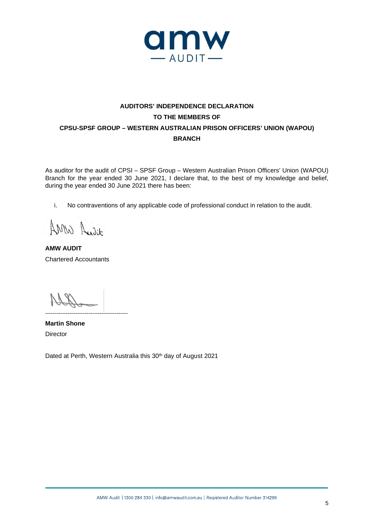

## **AUDITORS' INDEPENDENCE DECLARATION TO THE MEMBERS OF CPSU-SPSF GROUP – WESTERN AUSTRALIAN PRISON OFFICERS' UNION (WAPOU) BRANCH**

As auditor for the audit of CPSI – SPSF Group – Western Australian Prison Officers' Union (WAPOU) Branch for the year ended 30 June 2021, I declare that, to the best of my knowledge and belief, during the year ended 30 June 2021 there has been:

i. No contraventions of any applicable code of professional conduct in relation to the audit.

AMW Audit

**AMW AUDIT** Chartered Accountants

**Martin Shone Director** 

Dated at Perth, Western Australia this 30<sup>th</sup> day of August 2021

--------------------------------------------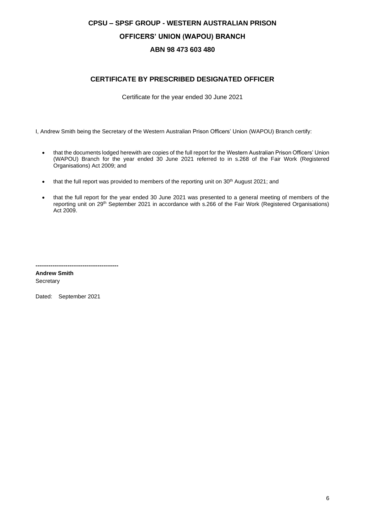## **CPSU – SPSF GROUP - WESTERN AUSTRALIAN PRISON OFFICERS' UNION (WAPOU) BRANCH ABN 98 473 603 480**

### **CERTIFICATE BY PRESCRIBED DESIGNATED OFFICER**

Certificate for the year ended 30 June 2021

I, Andrew Smith being the Secretary of the Western Australian Prison Officers' Union (WAPOU) Branch certify:

- that the documents lodged herewith are copies of the full report for the Western Australian Prison Officers' Union (WAPOU) Branch for the year ended 30 June 2021 referred to in s.268 of the Fair Work (Registered Organisations) Act 2009; and
- that the full report was provided to members of the reporting unit on 30<sup>th</sup> August 2021; and
- that the full report for the year ended 30 June 2021 was presented to a general meeting of members of the reporting unit on 29th September 2021 in accordance with s.266 of the Fair Work (Registered Organisations) Act 2009.

**-------------------------------------------- Andrew Smith Secretary** 

Dated: September 2021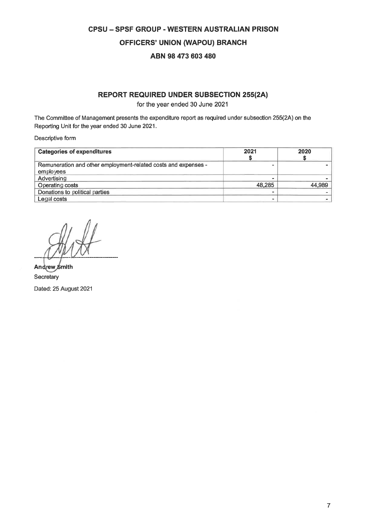## **CPSU - SPSF GROUP - WESTERN AUSTRALIAN PRISON OFFICERS' UNION (WAPOU) BRANCH** ABN 98 473 603 480

### **REPORT REQUIRED UNDER SUBSECTION 255(2A)**

for the year ended 30 June 2021

The Committee of Management presents the expenditure report as required under subsection 255(2A) on the Reporting Unit for the year ended 30 June 2021.

Descriptive form

| <b>Categories of expenditures</b>                              | 2021   | 2020   |
|----------------------------------------------------------------|--------|--------|
| Remuneration and other employment-related costs and expenses - |        |        |
| employees                                                      |        |        |
| Advertising                                                    |        |        |
| Operating costs                                                | 48.285 | 44,989 |
| Donations to political parties                                 |        |        |
| Legal costs                                                    |        |        |

Andrew Smith Secretary Dated: 25 August 2021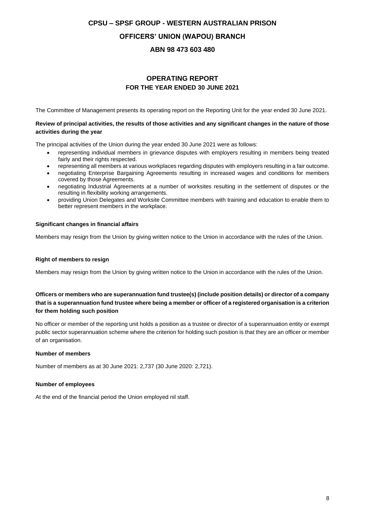## **CPSU – SPSF GROUP - WESTERN AUSTRALIAN PRISON OFFICERS' UNION (WAPOU) BRANCH ABN 98 473 603 480**

### **OPERATING REPORT FOR THE YEAR ENDED 30 JUNE 2021**

The Committee of Management presents its operating report on the Reporting Unit for the year ended 30 June 2021.

#### **Review of principal activities, the results of those activities and any significant changes in the nature of those activities during the year**

The principal activities of the Union during the year ended 30 June 2021 were as follows:

- representing individual members in grievance disputes with employers resulting in members being treated fairly and their rights respected.
- representing all members at various workplaces regarding disputes with employers resulting in a fair outcome.
- negotiating Enterprise Bargaining Agreements resulting in increased wages and conditions for members covered by those Agreements.
- negotiating Industrial Agreements at a number of worksites resulting in the settlement of disputes or the resulting in flexibility working arrangements.
- providing Union Delegates and Worksite Committee members with training and education to enable them to better represent members in the workplace.

#### **Significant changes in financial affairs**

Members may resign from the Union by giving written notice to the Union in accordance with the rules of the Union.

#### **Right of members to resign**

Members may resign from the Union by giving written notice to the Union in accordance with the rules of the Union.

### **Officers or members who are superannuation fund trustee(s) (include position details) or director of a company that is a superannuation fund trustee where being a member or officer of a registered organisation is a criterion for them holding such position**

No officer or member of the reporting unit holds a position as a trustee or director of a superannuation entity or exempt public sector superannuation scheme where the criterion for holding such position is that they are an officer or member of an organisation.

#### **Number of members**

Number of members as at 30 June 2021: 2,737 (30 June 2020: 2,721).

#### **Number of employees**

At the end of the financial period the Union employed nil staff.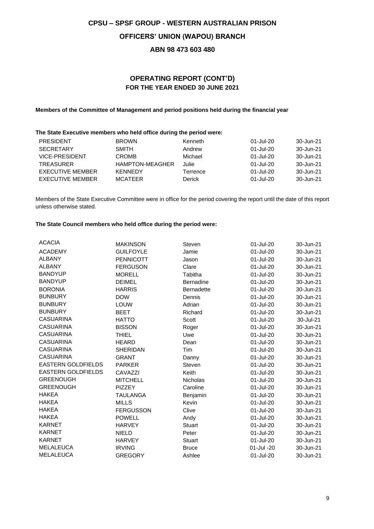## **CPSU – SPSF GROUP - WESTERN AUSTRALIAN PRISON OFFICERS' UNION (WAPOU) BRANCH**

### **ABN 98 473 603 480**

### **OPERATING REPORT (CONT'D) FOR THE YEAR ENDED 30 JUNE 2021**

### **Members of the Committee of Management and period positions held during the financial year**

### **The State Executive members who held office during the period were:**

| <b>PRESIDENT</b>        | <b>BROWN</b>           | Kenneth  | 01-Jul-20 | 30-Jun-21 |
|-------------------------|------------------------|----------|-----------|-----------|
| <b>SECRETARY</b>        | <b>SMITH</b>           | Andrew   | 01-Jul-20 | 30-Jun-21 |
| <b>VICE-PRESIDENT</b>   | <b>CROMB</b>           | Michael  | 01-Jul-20 | 30-Jun-21 |
| <b>TREASURER</b>        | <b>HAMPTON-MEAGHER</b> | Julie    | 01-Jul-20 | 30-Jun-21 |
| EXECUTIVE MEMBER        | <b>KENNEDY</b>         | Terrence | 01-Jul-20 | 30-Jun-21 |
| <b>EXECUTIVE MEMBER</b> | MCATEER                | Derick   | 01-Jul-20 | 30-Jun-21 |
|                         |                        |          |           |           |

Members of the State Executive Committee were in office for the period covering the report until the date of this report unless otherwise stated.

### **The State Council members who held office during the period were:**

| <b>ACACIA</b>             | <b>MAKINSON</b>  | Steven            | 01-Jul-20  | 30-Jun-21 |
|---------------------------|------------------|-------------------|------------|-----------|
| <b>ACADEMY</b>            | <b>GUILFOYLE</b> | Jamie             | 01-Jul-20  | 30-Jun-21 |
| <b>ALBANY</b>             | <b>PENNICOTT</b> | Jason             | 01-Jul-20  | 30-Jun-21 |
| <b>ALBANY</b>             | <b>FERGUSON</b>  | Clare             | 01-Jul-20  | 30-Jun-21 |
| <b>BANDYUP</b>            | <b>MORELL</b>    | Tabitha           | 01-Jul-20  | 30-Jun-21 |
| <b>BANDYUP</b>            | <b>DEIMEL</b>    | <b>Bernadine</b>  | 01-Jul-20  | 30-Jun-21 |
| <b>BORONIA</b>            | <b>HARRIS</b>    | <b>Bernadette</b> | 01-Jul-20  | 30-Jun-21 |
| <b>BUNBURY</b>            | <b>DOW</b>       | Dennis            | 01-Jul-20  | 30-Jun-21 |
| <b>BUNBURY</b>            | LOUW             | Adrian            | 01-Jul-20  | 30-Jun-21 |
| <b>BUNBURY</b>            | <b>BEET</b>      | Richard           | 01-Jul-20  | 30-Jun-21 |
| <b>CASUARINA</b>          | <b>HATTO</b>     | Scott             | 01-Jul-20  | 30-Jul-21 |
| <b>CASUARINA</b>          | <b>BISSON</b>    | Roger             | 01-Jul-20  | 30-Jun-21 |
| <b>CASUARINA</b>          | <b>THIEL</b>     | Uwe               | 01-Jul-20  | 30-Jun-21 |
| <b>CASUARINA</b>          | <b>HEARD</b>     | Dean              | 01-Jul-20  | 30-Jun-21 |
| <b>CASUARINA</b>          | <b>SHERIDAN</b>  | Tim               | 01-Jul-20  | 30-Jun-21 |
| <b>CASUARINA</b>          | <b>GRANT</b>     | Danny             | 01-Jul-20  | 30-Jun-21 |
| <b>EASTERN GOLDFIELDS</b> | <b>PARKER</b>    | <b>Steven</b>     | 01-Jul-20  | 30-Jun-21 |
| <b>EASTERN GOLDFIELDS</b> | CAVAZZI          | Keith             | 01-Jul-20  | 30-Jun-21 |
| <b>GREENOUGH</b>          | <b>MITCHELL</b>  | <b>Nicholas</b>   | 01-Jul-20  | 30-Jun-21 |
| <b>GREENOUGH</b>          | <b>PIZZEY</b>    | Caroline          | 01-Jul-20  | 30-Jun-21 |
| <b>HAKEA</b>              | <b>TAULANGA</b>  | Benjamin          | 01-Jul-20  | 30-Jun-21 |
| <b>HAKEA</b>              | <b>MILLS</b>     | Kevin             | 01-Jul-20  | 30-Jun-21 |
| <b>HAKEA</b>              | <b>FERGUSSON</b> | Clive             | 01-Jul-20  | 30-Jun-21 |
| <b>HAKEA</b>              | <b>POWELL</b>    | Andy              | 01-Jul-20  | 30-Jun-21 |
| <b>KARNET</b>             | <b>HARVEY</b>    | <b>Stuart</b>     | 01-Jul-20  | 30-Jun-21 |
| <b>KARNET</b>             | <b>NIELD</b>     | Peter             | 01-Jul-20  | 30-Jun-21 |
| <b>KARNET</b>             | <b>HARVEY</b>    | <b>Stuart</b>     | 01-Jul-20  | 30-Jun-21 |
| <b>MELALEUCA</b>          | <b>IRVING</b>    | <b>Bruce</b>      | 01-Jul -20 | 30-Jun-21 |
| <b>MELALEUCA</b>          | <b>GREGORY</b>   | Ashlee            | 01-Jul-20  | 30-Jun-21 |
|                           |                  |                   |            |           |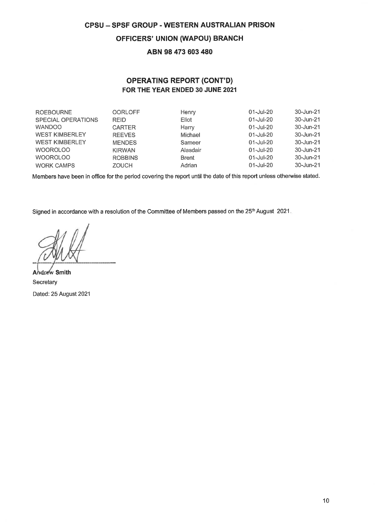### **OFFICERS' UNION (WAPOU) BRANCH**

### ABN 98 473 603 480

### **OPERATING REPORT (CONT'D)** FOR THE YEAR ENDED 30 JUNE 2021

| <b>ROEBOURNE</b>          | <b>OORLOFF</b> | Henry        | $01 -$ Jul $-20$ | 30-Jun-21 |
|---------------------------|----------------|--------------|------------------|-----------|
| <b>SPECIAL OPERATIONS</b> | <b>REID</b>    | Eliot        | $01 -$ Jul-20    | 30-Jun-21 |
| <b>WANDOO</b>             | <b>CARTER</b>  | Harry        | 01-Jul-20        | 30-Jun-21 |
| <b>WEST KIMBERLEY</b>     | <b>REEVES</b>  | Michael      | $01 -$ Jul-20    | 30-Jun-21 |
| <b>WEST KIMBERLEY</b>     | <b>MENDES</b>  | Sameer       | $01 -$ Jul-20    | 30-Jun-21 |
| <b>WOOROLOO</b>           | <b>KIRWAN</b>  | Alasdair     | $01 -$ Jul-20    | 30-Jun-21 |
| <b>WOOROLOO</b>           | <b>ROBBINS</b> | <b>Brent</b> | $01$ -Jul-20     | 30-Jun-21 |
| <b>WORK CAMPS</b>         | <b>ZOUCH</b>   | Adrian       | $01 -$ Jul-20    | 30-Jun-21 |

Members have been in office for the period covering the report until the date of this report unless otherwise stated.

Signed in accordance with a resolution of the Committee of Members passed on the 25<sup>th</sup> August 2021.

Andrew Smith Secretary Dated: 25 August 2021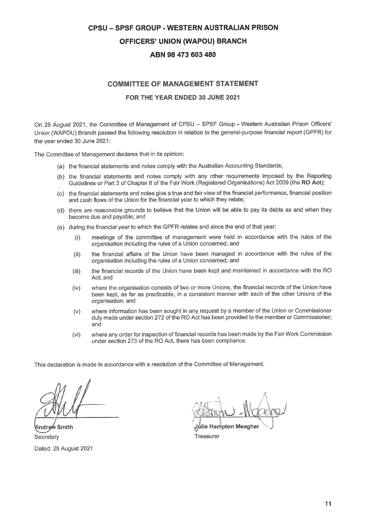## **CPSU - SPSF GROUP - WESTERN AUSTRALIAN PRISON OFFICERS' UNION (WAPOU) BRANCH** ABN 98 473 603 480

### **COMMITTEE OF MANAGEMENT STATEMENT**

#### FOR THE YEAR ENDED 30 JUNE 2021

On 25 August 2021, the Committee of Management of CPSU - SPSF Group - Western Australian Prison Officers' Union (WAPOU) Branch passed the following resolution in relation to the general-purpose financial report (GPFR) for the year ended 30 June 2021:

The Committee of Management declares that in its opinion:

- (a) the financial statements and notes comply with the Australian Accounting Standards;
- (b) the financial statements and notes comply with any other requirements imposed by the Reporting Guidelines or Part 3 of Chapter 8 of the Fair Work (Registered Organisations) Act 2009 (the RO Act);
- (c) the financial statements and notes give a true and fair view of the financial performance, financial position and cash flows of the Union for the financial year to which they relate;
- (d) there are reasonable grounds to believe that the Union will be able to pay its debts as and when they become due and payable; and
- (e) during the financial year to which the GPFR relates and since the end of that year:
	- meetings of the committee of management were held in accordance with the rules of the  $(i)$ organisation including the rules of a Union concerned; and
	- the financial affairs of the Union have been managed in accordance with the rules of the  $(ii)$ organisation including the rules of a Union concerned; and
	- the financial records of the Union have been kept and maintained in accordance with the RO  $(iii)$ Act; and
	- $(iv)$ where the organisation consists of two or more Unions, the financial records of the Union have been kept, as far as practicable, in a consistent manner with each of the other Unions of the organisation; and
	- where information has been sought in any request by a member of the Union or Commissioner  $(v)$ duly made under section 272 of the RO Act has been provided to the member or Commissioner; and
	- where any order for inspection of financial records has been made by the Fair Work Commission  $(vi)$ under section 273 of the RO Act, there has been compliance.

This declaration is made in accordance with a resolution of the Committee of Management.

Andrew Smith Secretary Dated: 25 August 2021

Julie Hampton Meagher Treasurer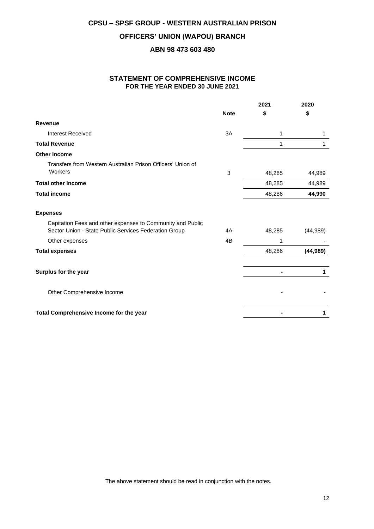### **OFFICERS' UNION (WAPOU) BRANCH**

### **ABN 98 473 603 480**

### **STATEMENT OF COMPREHENSIVE INCOME FOR THE YEAR ENDED 30 JUNE 2021**

|                                                                                                                     |             | 2021   | 2020      |
|---------------------------------------------------------------------------------------------------------------------|-------------|--------|-----------|
|                                                                                                                     | <b>Note</b> | \$     | \$        |
| <b>Revenue</b>                                                                                                      |             |        |           |
| <b>Interest Received</b>                                                                                            | 3A          | 1      | 1         |
| <b>Total Revenue</b>                                                                                                |             | 1      | 1         |
| <b>Other Income</b>                                                                                                 |             |        |           |
| Transfers from Western Australian Prison Officers' Union of<br>Workers                                              | 3           | 48,285 | 44,989    |
| <b>Total other income</b>                                                                                           |             | 48,285 | 44,989    |
| <b>Total income</b>                                                                                                 |             | 48,286 | 44,990    |
| <b>Expenses</b>                                                                                                     |             |        |           |
| Capitation Fees and other expenses to Community and Public<br>Sector Union - State Public Services Federation Group | 4A          | 48,285 | (44,989)  |
| Other expenses                                                                                                      | 4B          | 1      |           |
| <b>Total expenses</b>                                                                                               |             | 48,286 | (44, 989) |
| Surplus for the year                                                                                                |             |        | 1         |
| Other Comprehensive Income                                                                                          |             |        |           |
| Total Comprehensive Income for the year                                                                             |             |        | 1         |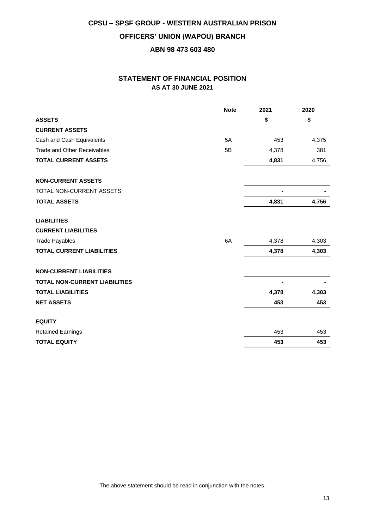## **CPSU – SPSF GROUP - WESTERN AUSTRALIAN PRISON OFFICERS' UNION (WAPOU) BRANCH ABN 98 473 603 480**

### **STATEMENT OF FINANCIAL POSITION AS AT 30 JUNE 2021**

|                                      | <b>Note</b> | 2021  | 2020  |
|--------------------------------------|-------------|-------|-------|
| <b>ASSETS</b>                        |             | \$    | \$    |
| <b>CURRENT ASSETS</b>                |             |       |       |
| Cash and Cash Equivalents            | 5A          | 453   | 4,375 |
| <b>Trade and Other Receivables</b>   | 5B          | 4,378 | 381   |
| <b>TOTAL CURRENT ASSETS</b>          |             | 4,831 | 4,756 |
| <b>NON-CURRENT ASSETS</b>            |             |       |       |
| TOTAL NON-CURRENT ASSETS             |             | -     |       |
| <b>TOTAL ASSETS</b>                  |             | 4,831 | 4,756 |
| <b>LIABILITIES</b>                   |             |       |       |
| <b>CURRENT LIABILITIES</b>           |             |       |       |
| <b>Trade Payables</b>                | 6A          | 4,378 | 4,303 |
| <b>TOTAL CURRENT LIABILITIES</b>     |             | 4,378 | 4,303 |
| <b>NON-CURRENT LIABILITIES</b>       |             |       |       |
| <b>TOTAL NON-CURRENT LIABILITIES</b> |             |       |       |
| <b>TOTAL LIABILITIES</b>             |             | 4,378 | 4,303 |
| <b>NET ASSETS</b>                    |             | 453   | 453   |
| <b>EQUITY</b>                        |             |       |       |
| <b>Retained Earnings</b>             |             | 453   | 453   |
| <b>TOTAL EQUITY</b>                  |             | 453   | 453   |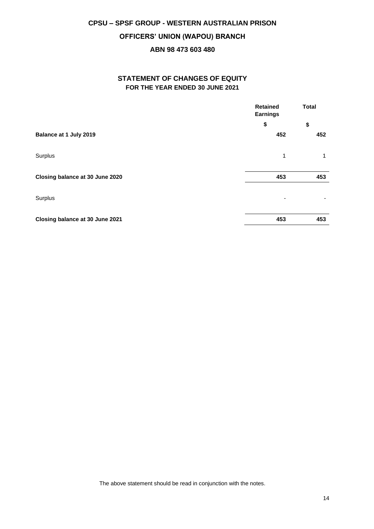### **OFFICERS' UNION (WAPOU) BRANCH**

### **ABN 98 473 603 480**

### **STATEMENT OF CHANGES OF EQUITY FOR THE YEAR ENDED 30 JUNE 2021**

|                                 | <b>Retained</b><br><b>Earnings</b> | <b>Total</b> |
|---------------------------------|------------------------------------|--------------|
|                                 | \$                                 | \$           |
| Balance at 1 July 2019          | 452                                | 452          |
| Surplus                         | 1                                  | 1            |
| Closing balance at 30 June 2020 | 453                                | 453          |
| Surplus                         |                                    |              |
| Closing balance at 30 June 2021 | 453                                | 453          |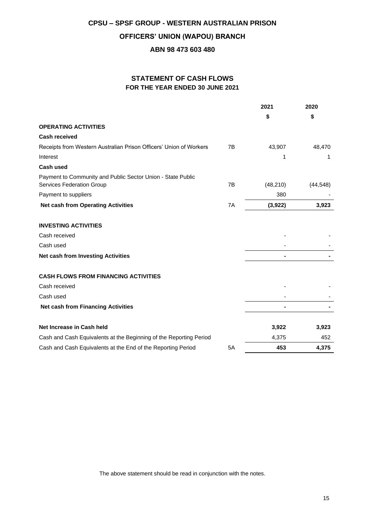### **OFFICERS' UNION (WAPOU) BRANCH**

### **ABN 98 473 603 480**

### **STATEMENT OF CASH FLOWS FOR THE YEAR ENDED 30 JUNE 2021**

|                                                                                          |    | 2021      | 2020      |
|------------------------------------------------------------------------------------------|----|-----------|-----------|
|                                                                                          |    | \$        | \$        |
| <b>OPERATING ACTIVITIES</b>                                                              |    |           |           |
| <b>Cash received</b>                                                                     |    |           |           |
| Receipts from Western Australian Prison Officers' Union of Workers                       | 7B | 43,907    | 48,470    |
| Interest                                                                                 |    | 1         | 1         |
| <b>Cash used</b>                                                                         |    |           |           |
| Payment to Community and Public Sector Union - State Public<br>Services Federation Group | 7B | (48, 210) | (44, 548) |
| Payment to suppliers                                                                     |    | 380       |           |
| <b>Net cash from Operating Activities</b>                                                | 7A | (3,922)   | 3,923     |
| <b>INVESTING ACTIVITIES</b>                                                              |    |           |           |
| Cash received                                                                            |    |           |           |
| Cash used                                                                                |    |           |           |
| Net cash from Investing Activities                                                       |    |           |           |
| <b>CASH FLOWS FROM FINANCING ACTIVITIES</b>                                              |    |           |           |
| Cash received                                                                            |    |           |           |
| Cash used                                                                                |    |           |           |
| <b>Net cash from Financing Activities</b>                                                |    |           |           |
| Net Increase in Cash held                                                                |    | 3,922     | 3,923     |
| Cash and Cash Equivalents at the Beginning of the Reporting Period                       |    | 4,375     | 452       |
| Cash and Cash Equivalents at the End of the Reporting Period                             | 5A | 453       | 4,375     |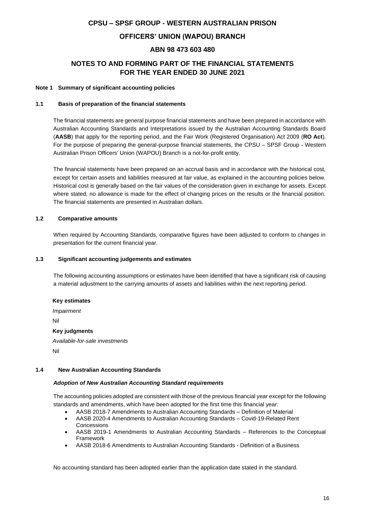### **OFFICERS' UNION (WAPOU) BRANCH**

### **ABN 98 473 603 480**

### **NOTES TO AND FORMING PART OF THE FINANCIAL STATEMENTS FOR THE YEAR ENDED 30 JUNE 2021**

#### **Note 1 Summary of significant accounting policies**

#### **1.1 Basis of preparation of the financial statements**

The financial statements are general purpose financial statements and have been prepared in accordance with Australian Accounting Standards and Interpretations issued by the Australian Accounting Standards Board (**AASB**) that apply for the reporting period, and the Fair Work (Registered Organisation) Act 2009 (**RO Act**). For the purpose of preparing the general-purpose financial statements, the CPSU – SPSF Group - Western Australian Prison Officers' Union (WAPOU) Branch is a not-for-profit entity.

The financial statements have been prepared on an accrual basis and in accordance with the historical cost, except for certain assets and liabilities measured at fair value, as explained in the accounting policies below. Historical cost is generally based on the fair values of the consideration given in exchange for assets. Except where stated, no allowance is made for the effect of changing prices on the results or the financial position. The financial statements are presented in Australian dollars.

#### **1.2 Comparative amounts**

When required by Accounting Standards, comparative figures have been adjusted to conform to changes in presentation for the current financial year.

#### **1.3 Significant accounting judgements and estimates**

The following accounting assumptions or estimates have been identified that have a significant risk of causing a material adjustment to the carrying amounts of assets and liabilities within the next reporting period.

#### **Key estimates**

*Impairment* Nil **Key judgments** *Available-for-sale investments* Nil

#### **1.4 New Australian Accounting Standards**

#### *Adoption of New Australian Accounting Standard requirements*

The accounting policies adopted are consistent with those of the previous financial year except for the following standards and amendments, which have been adopted for the first time this financial year:

- AASB 2018-7 Amendments to Australian Accounting Standards Definition of Material
- AASB 2020-4 Amendments to Australian Accounting Standards Covid-19-Related Rent Concessions
- AASB 2019-1 Amendments to Australian Accounting Standards References to the Conceptual Framework
- AASB 2018-6 Amendments to Australian Accounting Standards Definition of a Business

No accounting standard has been adopted earlier than the application date stated in the standard.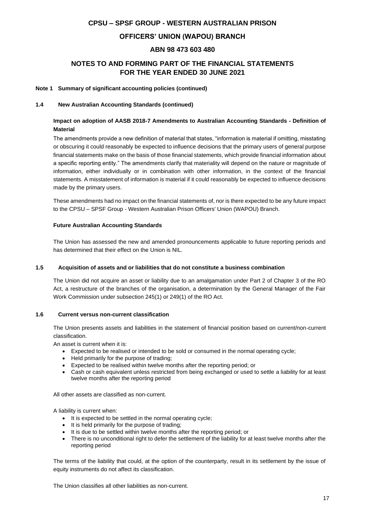### **OFFICERS' UNION (WAPOU) BRANCH**

### **ABN 98 473 603 480**

### **NOTES TO AND FORMING PART OF THE FINANCIAL STATEMENTS FOR THE YEAR ENDED 30 JUNE 2021**

#### **Note 1 Summary of significant accounting policies (continued)**

#### **1.4 New Australian Accounting Standards (continued)**

### **Impact on adoption of AASB 2018-7 Amendments to Australian Accounting Standards - Definition of Material**

The amendments provide a new definition of material that states, "information is material if omitting, misstating or obscuring it could reasonably be expected to influence decisions that the primary users of general purpose financial statements make on the basis of those financial statements, which provide financial information about a specific reporting entity." The amendments clarify that materiality will depend on the nature or magnitude of information, either individually or in combination with other information, in the context of the financial statements. A misstatement of information is material if it could reasonably be expected to influence decisions made by the primary users.

These amendments had no impact on the financial statements of, nor is there expected to be any future impact to the CPSU – SPSF Group - Western Australian Prison Officers' Union (WAPOU) Branch.

#### **Future Australian Accounting Standards**

The Union has assessed the new and amended pronouncements applicable to future reporting periods and has determined that their effect on the Union is NIL.

#### **1.5 Acquisition of assets and or liabilities that do not constitute a business combination**

The Union did not acquire an asset or liability due to an amalgamation under Part 2 of Chapter 3 of the RO Act, a restructure of the branches of the organisation, a determination by the General Manager of the Fair Work Commission under subsection 245(1) or 249(1) of the RO Act.

#### **1.6 Current versus non-current classification**

The Union presents assets and liabilities in the statement of financial position based on current/non-current classification.

An asset is current when it is:

- Expected to be realised or intended to be sold or consumed in the normal operating cycle;
- Held primarily for the purpose of trading;
- Expected to be realised within twelve months after the reporting period; or
- Cash or cash equivalent unless restricted from being exchanged or used to settle a liability for at least twelve months after the reporting period

All other assets are classified as non-current.

A liability is current when:

- It is expected to be settled in the normal operating cycle:
- It is held primarily for the purpose of trading;
- It is due to be settled within twelve months after the reporting period; or
- There is no unconditional right to defer the settlement of the liability for at least twelve months after the reporting period

The terms of the liability that could, at the option of the counterparty, result in its settlement by the issue of equity instruments do not affect its classification.

The Union classifies all other liabilities as non-current.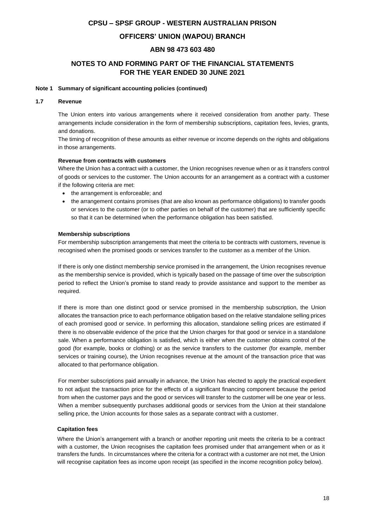### **OFFICERS' UNION (WAPOU) BRANCH**

### **ABN 98 473 603 480**

### **NOTES TO AND FORMING PART OF THE FINANCIAL STATEMENTS FOR THE YEAR ENDED 30 JUNE 2021**

#### **Note 1 Summary of significant accounting policies (continued)**

#### **1.7 Revenue**

The Union enters into various arrangements where it received consideration from another party. These arrangements include consideration in the form of membership subscriptions, capitation fees, levies, grants, and donations.

The timing of recognition of these amounts as either revenue or income depends on the rights and obligations in those arrangements.

#### **Revenue from contracts with customers**

Where the Union has a contract with a customer, the Union recognises revenue when or as it transfers control of goods or services to the customer. The Union accounts for an arrangement as a contract with a customer if the following criteria are met:

- the arrangement is enforceable; and
- the arrangement contains promises (that are also known as performance obligations) to transfer goods or services to the customer (or to other parties on behalf of the customer) that are sufficiently specific so that it can be determined when the performance obligation has been satisfied.

#### **Membership subscriptions**

For membership subscription arrangements that meet the criteria to be contracts with customers, revenue is recognised when the promised goods or services transfer to the customer as a member of the Union.

If there is only one distinct membership service promised in the arrangement, the Union recognises revenue as the membership service is provided, which is typically based on the passage of time over the subscription period to reflect the Union's promise to stand ready to provide assistance and support to the member as required.

If there is more than one distinct good or service promised in the membership subscription, the Union allocates the transaction price to each performance obligation based on the relative standalone selling prices of each promised good or service. In performing this allocation, standalone selling prices are estimated if there is no observable evidence of the price that the Union charges for that good or service in a standalone sale. When a performance obligation is satisfied, which is either when the customer obtains control of the good (for example, books or clothing) or as the service transfers to the customer (for example, member services or training course), the Union recognises revenue at the amount of the transaction price that was allocated to that performance obligation.

For member subscriptions paid annually in advance, the Union has elected to apply the practical expedient to not adjust the transaction price for the effects of a significant financing component because the period from when the customer pays and the good or services will transfer to the customer will be one year or less. When a member subsequently purchases additional goods or services from the Union at their standalone selling price, the Union accounts for those sales as a separate contract with a customer.

#### **Capitation fees**

Where the Union's arrangement with a branch or another reporting unit meets the criteria to be a contract with a customer, the Union recognises the capitation fees promised under that arrangement when or as it transfers the funds. In circumstances where the criteria for a contract with a customer are not met, the Union will recognise capitation fees as income upon receipt (as specified in the income recognition policy below).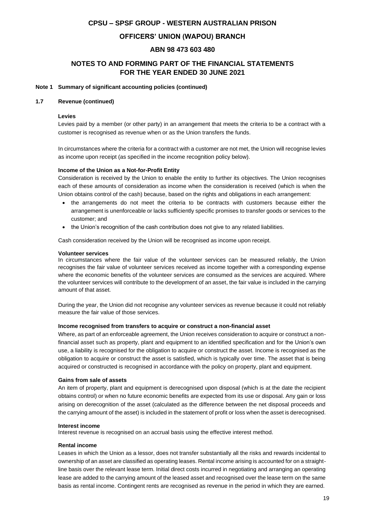### **OFFICERS' UNION (WAPOU) BRANCH**

### **ABN 98 473 603 480**

### **NOTES TO AND FORMING PART OF THE FINANCIAL STATEMENTS FOR THE YEAR ENDED 30 JUNE 2021**

#### **Note 1 Summary of significant accounting policies (continued)**

#### **1.7 Revenue (continued)**

#### **Levies**

Levies paid by a member (or other party) in an arrangement that meets the criteria to be a contract with a customer is recognised as revenue when or as the Union transfers the funds.

In circumstances where the criteria for a contract with a customer are not met, the Union will recognise levies as income upon receipt (as specified in the income recognition policy below).

#### **Income of the Union as a Not-for-Profit Entity**

Consideration is received by the Union to enable the entity to further its objectives. The Union recognises each of these amounts of consideration as income when the consideration is received (which is when the Union obtains control of the cash) because, based on the rights and obligations in each arrangement:

- the arrangements do not meet the criteria to be contracts with customers because either the arrangement is unenforceable or lacks sufficiently specific promises to transfer goods or services to the customer; and
- the Union's recognition of the cash contribution does not give to any related liabilities.

Cash consideration received by the Union will be recognised as income upon receipt.

#### **Volunteer services**

In circumstances where the fair value of the volunteer services can be measured reliably, the Union recognises the fair value of volunteer services received as income together with a corresponding expense where the economic benefits of the volunteer services are consumed as the services are acquired. Where the volunteer services will contribute to the development of an asset, the fair value is included in the carrying amount of that asset.

During the year, the Union did not recognise any volunteer services as revenue because it could not reliably measure the fair value of those services.

#### **Income recognised from transfers to acquire or construct a non-financial asset**

Where, as part of an enforceable agreement, the Union receives consideration to acquire or construct a nonfinancial asset such as property, plant and equipment to an identified specification and for the Union's own use, a liability is recognised for the obligation to acquire or construct the asset. Income is recognised as the obligation to acquire or construct the asset is satisfied, which is typically over time. The asset that is being acquired or constructed is recognised in accordance with the policy on property, plant and equipment.

#### **Gains from sale of assets**

An item of property, plant and equipment is derecognised upon disposal (which is at the date the recipient obtains control) or when no future economic benefits are expected from its use or disposal. Any gain or loss arising on derecognition of the asset (calculated as the difference between the net disposal proceeds and the carrying amount of the asset) is included in the statement of profit or loss when the asset is derecognised.

#### **Interest income**

Interest revenue is recognised on an accrual basis using the effective interest method.

#### **Rental income**

Leases in which the Union as a lessor, does not transfer substantially all the risks and rewards incidental to ownership of an asset are classified as operating leases. Rental income arising is accounted for on a straightline basis over the relevant lease term. Initial direct costs incurred in negotiating and arranging an operating lease are added to the carrying amount of the leased asset and recognised over the lease term on the same basis as rental income. Contingent rents are recognised as revenue in the period in which they are earned.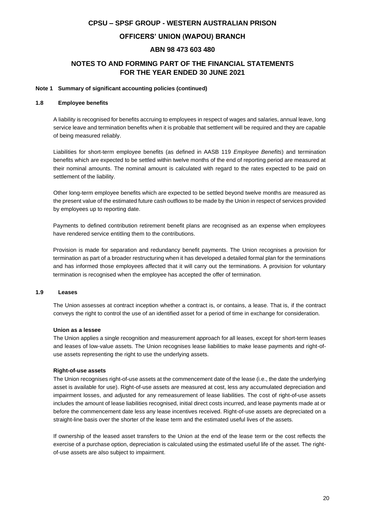### **OFFICERS' UNION (WAPOU) BRANCH**

### **ABN 98 473 603 480**

### **NOTES TO AND FORMING PART OF THE FINANCIAL STATEMENTS FOR THE YEAR ENDED 30 JUNE 2021**

#### **Note 1 Summary of significant accounting policies (continued)**

#### **1.8 Employee benefits**

A liability is recognised for benefits accruing to employees in respect of wages and salaries, annual leave, long service leave and termination benefits when it is probable that settlement will be required and they are capable of being measured reliably.

Liabilities for short-term employee benefits (as defined in AASB 119 *Employee Benefits*) and termination benefits which are expected to be settled within twelve months of the end of reporting period are measured at their nominal amounts. The nominal amount is calculated with regard to the rates expected to be paid on settlement of the liability.

Other long-term employee benefits which are expected to be settled beyond twelve months are measured as the present value of the estimated future cash outflows to be made by the Union in respect of services provided by employees up to reporting date.

Payments to defined contribution retirement benefit plans are recognised as an expense when employees have rendered service entitling them to the contributions.

Provision is made for separation and redundancy benefit payments. The Union recognises a provision for termination as part of a broader restructuring when it has developed a detailed formal plan for the terminations and has informed those employees affected that it will carry out the terminations. A provision for voluntary termination is recognised when the employee has accepted the offer of termination.

#### **1.9 Leases**

The Union assesses at contract inception whether a contract is, or contains, a lease. That is, if the contract conveys the right to control the use of an identified asset for a period of time in exchange for consideration.

#### **Union as a lessee**

The Union applies a single recognition and measurement approach for all leases, except for short-term leases and leases of low-value assets. The Union recognises lease liabilities to make lease payments and right-ofuse assets representing the right to use the underlying assets.

#### **Right-of-use assets**

The Union recognises right-of-use assets at the commencement date of the lease (i.e., the date the underlying asset is available for use). Right-of-use assets are measured at cost, less any accumulated depreciation and impairment losses, and adjusted for any remeasurement of lease liabilities. The cost of right-of-use assets includes the amount of lease liabilities recognised, initial direct costs incurred, and lease payments made at or before the commencement date less any lease incentives received. Right-of-use assets are depreciated on a straight-line basis over the shorter of the lease term and the estimated useful lives of the assets.

If ownership of the leased asset transfers to the Union at the end of the lease term or the cost reflects the exercise of a purchase option, depreciation is calculated using the estimated useful life of the asset. The rightof-use assets are also subject to impairment.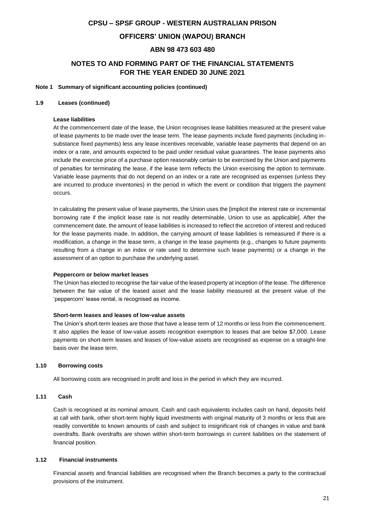### **OFFICERS' UNION (WAPOU) BRANCH**

### **ABN 98 473 603 480**

### **NOTES TO AND FORMING PART OF THE FINANCIAL STATEMENTS FOR THE YEAR ENDED 30 JUNE 2021**

#### **Note 1 Summary of significant accounting policies (continued)**

#### **1.9 Leases (continued)**

#### **Lease liabilities**

At the commencement date of the lease, the Union recognises lease liabilities measured at the present value of lease payments to be made over the lease term. The lease payments include fixed payments (including insubstance fixed payments) less any lease incentives receivable, variable lease payments that depend on an index or a rate, and amounts expected to be paid under residual value guarantees. The lease payments also include the exercise price of a purchase option reasonably certain to be exercised by the Union and payments of penalties for terminating the lease, if the lease term reflects the Union exercising the option to terminate. Variable lease payments that do not depend on an index or a rate are recognised as expenses (unless they are incurred to produce inventories) in the period in which the event or condition that triggers the payment occurs.

In calculating the present value of lease payments, the Union uses the [implicit the interest rate or incremental borrowing rate if the implicit lease rate is not readily determinable, Union to use as applicable]. After the commencement date, the amount of lease liabilities is increased to reflect the accretion of interest and reduced for the lease payments made. In addition, the carrying amount of lease liabilities is remeasured if there is a modification, a change in the lease term, a change in the lease payments (e.g., changes to future payments resulting from a change in an index or rate used to determine such lease payments) or a change in the assessment of an option to purchase the underlying asset.

#### **Peppercorn or below market leases**

The Union has elected to recognise the fair value of the leased property at inception of the lease. The difference between the fair value of the leased asset and the lease liability measured at the present value of the 'peppercorn' lease rental, is recognised as income.

#### **Short-term leases and leases of low-value assets**

The Union's short-term leases are those that have a lease term of 12 months or less from the commencement. It also applies the lease of low-value assets recognition exemption to leases that are below \$7,000. Lease payments on short-term leases and leases of low-value assets are recognised as expense on a straight-line basis over the lease term.

#### **1.10 Borrowing costs**

All borrowing costs are recognised in profit and loss in the period in which they are incurred.

#### **1.11 Cash**

Cash is recognised at its nominal amount. Cash and cash equivalents includes cash on hand, deposits held at call with bank, other short-term highly liquid investments with original maturity of 3 months or less that are readily convertible to known amounts of cash and subject to insignificant risk of changes in value and bank overdrafts. Bank overdrafts are shown within short-term borrowings in current liabilities on the statement of financial position.

#### **1.12 Financial instruments**

Financial assets and financial liabilities are recognised when the Branch becomes a party to the contractual provisions of the instrument.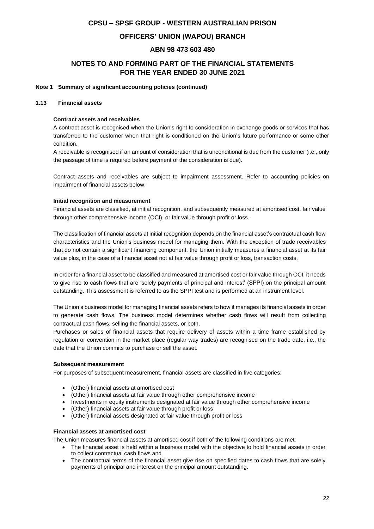### **OFFICERS' UNION (WAPOU) BRANCH**

### **ABN 98 473 603 480**

### **NOTES TO AND FORMING PART OF THE FINANCIAL STATEMENTS FOR THE YEAR ENDED 30 JUNE 2021**

#### **Note 1 Summary of significant accounting policies (continued)**

#### **1.13 Financial assets**

#### **Contract assets and receivables**

A contract asset is recognised when the Union's right to consideration in exchange goods or services that has transferred to the customer when that right is conditioned on the Union's future performance or some other condition.

A receivable is recognised if an amount of consideration that is unconditional is due from the customer (i.e., only the passage of time is required before payment of the consideration is due).

Contract assets and receivables are subject to impairment assessment. Refer to accounting policies on impairment of financial assets below.

#### **Initial recognition and measurement**

Financial assets are classified, at initial recognition, and subsequently measured at amortised cost, fair value through other comprehensive income (OCI), or fair value through profit or loss.

The classification of financial assets at initial recognition depends on the financial asset's contractual cash flow characteristics and the Union's business model for managing them. With the exception of trade receivables that do not contain a significant financing component, the Union initially measures a financial asset at its fair value plus, in the case of a financial asset not at fair value through profit or loss, transaction costs.

In order for a financial asset to be classified and measured at amortised cost or fair value through OCI, it needs to give rise to cash flows that are 'solely payments of principal and interest' (SPPI) on the principal amount outstanding. This assessment is referred to as the SPPI test and is performed at an instrument level.

The Union's business model for managing financial assets refers to how it manages its financial assets in order to generate cash flows. The business model determines whether cash flows will result from collecting contractual cash flows, selling the financial assets, or both.

Purchases or sales of financial assets that require delivery of assets within a time frame established by regulation or convention in the market place (regular way trades) are recognised on the trade date, i.e., the date that the Union commits to purchase or sell the asset.

#### **Subsequent measurement**

For purposes of subsequent measurement, financial assets are classified in five categories:

- (Other) financial assets at amortised cost
- (Other) financial assets at fair value through other comprehensive income
- Investments in equity instruments designated at fair value through other comprehensive income
- (Other) financial assets at fair value through profit or loss
- (Other) financial assets designated at fair value through profit or loss

#### **Financial assets at amortised cost**

The Union measures financial assets at amortised cost if both of the following conditions are met:

- The financial asset is held within a business model with the objective to hold financial assets in order to collect contractual cash flows and
- The contractual terms of the financial asset give rise on specified dates to cash flows that are solely payments of principal and interest on the principal amount outstanding.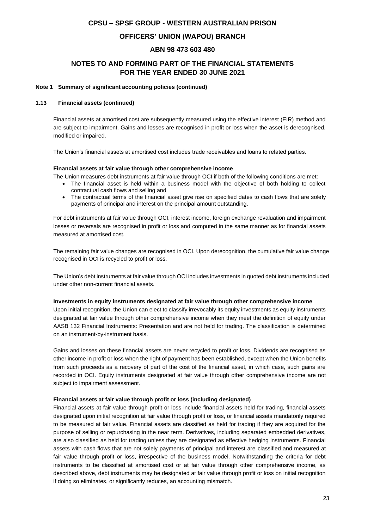### **OFFICERS' UNION (WAPOU) BRANCH**

### **ABN 98 473 603 480**

### **NOTES TO AND FORMING PART OF THE FINANCIAL STATEMENTS FOR THE YEAR ENDED 30 JUNE 2021**

#### **Note 1 Summary of significant accounting policies (continued)**

#### **1.13 Financial assets (continued)**

Financial assets at amortised cost are subsequently measured using the effective interest (EIR) method and are subject to impairment. Gains and losses are recognised in profit or loss when the asset is derecognised, modified or impaired.

The Union's financial assets at amortised cost includes trade receivables and loans to related parties.

#### **Financial assets at fair value through other comprehensive income**

The Union measures debt instruments at fair value through OCI if both of the following conditions are met:

- The financial asset is held within a business model with the objective of both holding to collect contractual cash flows and selling and
- The contractual terms of the financial asset give rise on specified dates to cash flows that are solely payments of principal and interest on the principal amount outstanding.

For debt instruments at fair value through OCI, interest income, foreign exchange revaluation and impairment losses or reversals are recognised in profit or loss and computed in the same manner as for financial assets measured at amortised cost.

The remaining fair value changes are recognised in OCI. Upon derecognition, the cumulative fair value change recognised in OCI is recycled to profit or loss.

The Union's debt instruments at fair value through OCI includes investments in quoted debt instruments included under other non-current financial assets.

#### **Investments in equity instruments designated at fair value through other comprehensive income**

Upon initial recognition, the Union can elect to classify irrevocably its equity investments as equity instruments designated at fair value through other comprehensive income when they meet the definition of equity under AASB 132 Financial Instruments: Presentation and are not held for trading. The classification is determined on an instrument-by-instrument basis.

Gains and losses on these financial assets are never recycled to profit or loss. Dividends are recognised as other income in profit or loss when the right of payment has been established, except when the Union benefits from such proceeds as a recovery of part of the cost of the financial asset, in which case, such gains are recorded in OCI. Equity instruments designated at fair value through other comprehensive income are not subject to impairment assessment.

#### **Financial assets at fair value through profit or loss (including designated)**

Financial assets at fair value through profit or loss include financial assets held for trading, financial assets designated upon initial recognition at fair value through profit or loss, or financial assets mandatorily required to be measured at fair value. Financial assets are classified as held for trading if they are acquired for the purpose of selling or repurchasing in the near term. Derivatives, including separated embedded derivatives, are also classified as held for trading unless they are designated as effective hedging instruments. Financial assets with cash flows that are not solely payments of principal and interest are classified and measured at fair value through profit or loss, irrespective of the business model. Notwithstanding the criteria for debt instruments to be classified at amortised cost or at fair value through other comprehensive income, as described above, debt instruments may be designated at fair value through profit or loss on initial recognition if doing so eliminates, or significantly reduces, an accounting mismatch.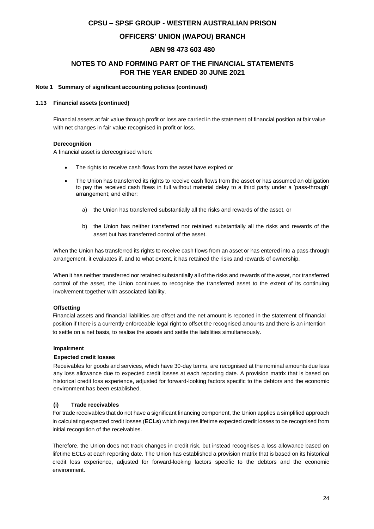### **OFFICERS' UNION (WAPOU) BRANCH**

### **ABN 98 473 603 480**

### **NOTES TO AND FORMING PART OF THE FINANCIAL STATEMENTS FOR THE YEAR ENDED 30 JUNE 2021**

#### **Note 1 Summary of significant accounting policies (continued)**

#### **1.13 Financial assets (continued)**

Financial assets at fair value through profit or loss are carried in the statement of financial position at fair value with net changes in fair value recognised in profit or loss.

#### **Derecognition**

A financial asset is derecognised when:

- The rights to receive cash flows from the asset have expired or
- The Union has transferred its rights to receive cash flows from the asset or has assumed an obligation to pay the received cash flows in full without material delay to a third party under a 'pass-through' arrangement; and either:
	- a) the Union has transferred substantially all the risks and rewards of the asset, or
	- b) the Union has neither transferred nor retained substantially all the risks and rewards of the asset but has transferred control of the asset.

When the Union has transferred its rights to receive cash flows from an asset or has entered into a pass-through arrangement, it evaluates if, and to what extent, it has retained the risks and rewards of ownership.

When it has neither transferred nor retained substantially all of the risks and rewards of the asset, nor transferred control of the asset, the Union continues to recognise the transferred asset to the extent of its continuing involvement together with associated liability.

#### **Offsetting**

Financial assets and financial liabilities are offset and the net amount is reported in the statement of financial position if there is a currently enforceable legal right to offset the recognised amounts and there is an intention to settle on a net basis, to realise the assets and settle the liabilities simultaneously.

#### **Impairment**

#### **Expected credit losses**

Receivables for goods and services, which have 30-day terms, are recognised at the nominal amounts due less any loss allowance due to expected credit losses at each reporting date. A provision matrix that is based on historical credit loss experience, adjusted for forward-looking factors specific to the debtors and the economic environment has been established.

#### **(i) Trade receivables**

For trade receivables that do not have a significant financing component, the Union applies a simplified approach in calculating expected credit losses (**ECLs**) which requires lifetime expected credit losses to be recognised from initial recognition of the receivables.

Therefore, the Union does not track changes in credit risk, but instead recognises a loss allowance based on lifetime ECLs at each reporting date. The Union has established a provision matrix that is based on its historical credit loss experience, adjusted for forward-looking factors specific to the debtors and the economic environment.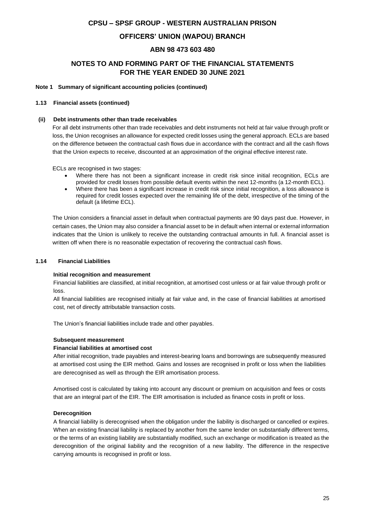### **OFFICERS' UNION (WAPOU) BRANCH**

### **ABN 98 473 603 480**

### **NOTES TO AND FORMING PART OF THE FINANCIAL STATEMENTS FOR THE YEAR ENDED 30 JUNE 2021**

#### **Note 1 Summary of significant accounting policies (continued)**

#### **1.13 Financial assets (continued)**

#### **(ii) Debt instruments other than trade receivables**

For all debt instruments other than trade receivables and debt instruments not held at fair value through profit or loss, the Union recognises an allowance for expected credit losses using the general approach. ECLs are based on the difference between the contractual cash flows due in accordance with the contract and all the cash flows that the Union expects to receive, discounted at an approximation of the original effective interest rate.

ECLs are recognised in two stages:

- Where there has not been a significant increase in credit risk since initial recognition, ECLs are provided for credit losses from possible default events within the next 12-months (a 12-month ECL).
- Where there has been a significant increase in credit risk since initial recognition, a loss allowance is required for credit losses expected over the remaining life of the debt, irrespective of the timing of the default (a lifetime ECL).

The Union considers a financial asset in default when contractual payments are 90 days past due. However, in certain cases, the Union may also consider a financial asset to be in default when internal or external information indicates that the Union is unlikely to receive the outstanding contractual amounts in full. A financial asset is written off when there is no reasonable expectation of recovering the contractual cash flows.

#### **1.14 Financial Liabilities**

#### **Initial recognition and measurement**

Financial liabilities are classified, at initial recognition, at amortised cost unless or at fair value through profit or loss.

All financial liabilities are recognised initially at fair value and, in the case of financial liabilities at amortised cost, net of directly attributable transaction costs.

The Union's financial liabilities include trade and other payables.

#### **Subsequent measurement**

#### **Financial liabilities at amortised cost**

After initial recognition, trade payables and interest-bearing loans and borrowings are subsequently measured at amortised cost using the EIR method. Gains and losses are recognised in profit or loss when the liabilities are derecognised as well as through the EIR amortisation process.

Amortised cost is calculated by taking into account any discount or premium on acquisition and fees or costs that are an integral part of the EIR. The EIR amortisation is included as finance costs in profit or loss.

#### **Derecognition**

A financial liability is derecognised when the obligation under the liability is discharged or cancelled or expires. When an existing financial liability is replaced by another from the same lender on substantially different terms, or the terms of an existing liability are substantially modified, such an exchange or modification is treated as the derecognition of the original liability and the recognition of a new liability. The difference in the respective carrying amounts is recognised in profit or loss.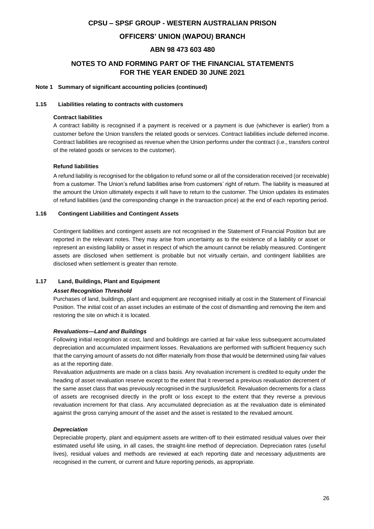### **OFFICERS' UNION (WAPOU) BRANCH**

### **ABN 98 473 603 480**

### **NOTES TO AND FORMING PART OF THE FINANCIAL STATEMENTS FOR THE YEAR ENDED 30 JUNE 2021**

#### **Note 1 Summary of significant accounting policies (continued)**

#### **1.15 Liabilities relating to contracts with customers**

#### **Contract liabilities**

A contract liability is recognised if a payment is received or a payment is due (whichever is earlier) from a customer before the Union transfers the related goods or services. Contract liabilities include deferred income. Contract liabilities are recognised as revenue when the Union performs under the contract (i.e., transfers control of the related goods or services to the customer).

#### **Refund liabilities**

A refund liability is recognised for the obligation to refund some or all of the consideration received (or receivable) from a customer. The Union's refund liabilities arise from customers' right of return. The liability is measured at the amount the Union ultimately expects it will have to return to the customer. The Union updates its estimates of refund liabilities (and the corresponding change in the transaction price) at the end of each reporting period.

#### **1.16 Contingent Liabilities and Contingent Assets**

Contingent liabilities and contingent assets are not recognised in the Statement of Financial Position but are reported in the relevant notes. They may arise from uncertainty as to the existence of a liability or asset or represent an existing liability or asset in respect of which the amount cannot be reliably measured. Contingent assets are disclosed when settlement is probable but not virtually certain, and contingent liabilities are disclosed when settlement is greater than remote.

#### **1.17 Land, Buildings, Plant and Equipment**

#### *Asset Recognition Threshold*

Purchases of land, buildings, plant and equipment are recognised initially at cost in the Statement of Financial Position. The initial cost of an asset includes an estimate of the cost of dismantling and removing the item and restoring the site on which it is located.

#### *Revaluations—Land and Buildings*

Following initial recognition at cost, land and buildings are carried at fair value less subsequent accumulated depreciation and accumulated impairment losses. Revaluations are performed with sufficient frequency such that the carrying amount of assets do not differ materially from those that would be determined using fair values as at the reporting date.

Revaluation adjustments are made on a class basis. Any revaluation increment is credited to equity under the heading of asset revaluation reserve except to the extent that it reversed a previous revaluation decrement of the same asset class that was previously recognised in the surplus/deficit. Revaluation decrements for a class of assets are recognised directly in the profit or loss except to the extent that they reverse a previous revaluation increment for that class. Any accumulated depreciation as at the revaluation date is eliminated against the gross carrying amount of the asset and the asset is restated to the revalued amount.

#### *Depreciation*

Depreciable property, plant and equipment assets are written-off to their estimated residual values over their estimated useful life using, in all cases, the straight-line method of depreciation. Depreciation rates (useful lives), residual values and methods are reviewed at each reporting date and necessary adjustments are recognised in the current, or current and future reporting periods, as appropriate.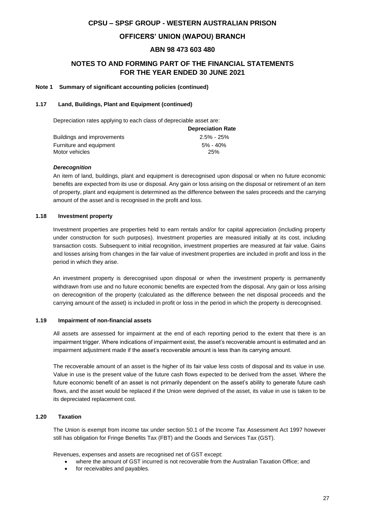### **OFFICERS' UNION (WAPOU) BRANCH**

### **ABN 98 473 603 480**

### **NOTES TO AND FORMING PART OF THE FINANCIAL STATEMENTS FOR THE YEAR ENDED 30 JUNE 2021**

#### **Note 1 Summary of significant accounting policies (continued)**

#### **1.17 Land, Buildings, Plant and Equipment (continued)**

Depreciation rates applying to each class of depreciable asset are:

|                            | <b>Depreciation Rate</b> |
|----------------------------|--------------------------|
| Buildings and improvements | $2.5\%$ - 25%            |
| Furniture and equipment    | $5\% - 40\%$             |
| Motor vehicles             | 25%                      |

#### *Derecognition*

An item of land, buildings, plant and equipment is derecognised upon disposal or when no future economic benefits are expected from its use or disposal. Any gain or loss arising on the disposal or retirement of an item of property, plant and equipment is determined as the difference between the sales proceeds and the carrying amount of the asset and is recognised in the profit and loss.

#### **1.18 Investment property**

Investment properties are properties held to earn rentals and/or for capital appreciation (including property under construction for such purposes). Investment properties are measured initially at its cost, including transaction costs. Subsequent to initial recognition, investment properties are measured at fair value. Gains and losses arising from changes in the fair value of investment properties are included in profit and loss in the period in which they arise.

An investment property is derecognised upon disposal or when the investment property is permanently withdrawn from use and no future economic benefits are expected from the disposal. Any gain or loss arising on derecognition of the property (calculated as the difference between the net disposal proceeds and the carrying amount of the asset) is included in profit or loss in the period in which the property is derecognised.

#### **1.19 Impairment of non-financial assets**

All assets are assessed for impairment at the end of each reporting period to the extent that there is an impairment trigger. Where indications of impairment exist, the asset's recoverable amount is estimated and an impairment adjustment made if the asset's recoverable amount is less than its carrying amount.

The recoverable amount of an asset is the higher of its fair value less costs of disposal and its value in use. Value in use is the present value of the future cash flows expected to be derived from the asset. Where the future economic benefit of an asset is not primarily dependent on the asset's ability to generate future cash flows, and the asset would be replaced if the Union were deprived of the asset, its value in use is taken to be its depreciated replacement cost.

#### **1.20 Taxation**

The Union is exempt from income tax under section 50.1 of the Income Tax Assessment Act 1997 however still has obligation for Fringe Benefits Tax (FBT) and the Goods and Services Tax (GST).

Revenues, expenses and assets are recognised net of GST except:

- where the amount of GST incurred is not recoverable from the Australian Taxation Office; and
- for receivables and payables.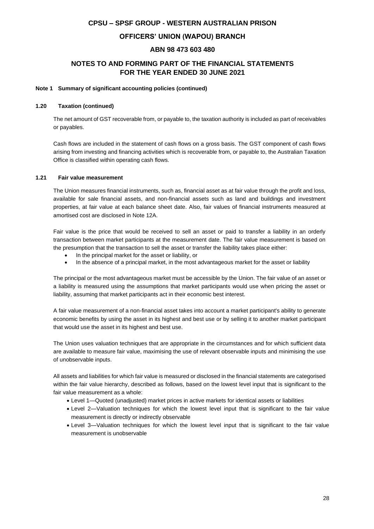### **OFFICERS' UNION (WAPOU) BRANCH**

### **ABN 98 473 603 480**

### **NOTES TO AND FORMING PART OF THE FINANCIAL STATEMENTS FOR THE YEAR ENDED 30 JUNE 2021**

#### **Note 1 Summary of significant accounting policies (continued)**

#### **1.20 Taxation (continued)**

The net amount of GST recoverable from, or payable to, the taxation authority is included as part of receivables or payables.

Cash flows are included in the statement of cash flows on a gross basis. The GST component of cash flows arising from investing and financing activities which is recoverable from, or payable to, the Australian Taxation Office is classified within operating cash flows.

#### **1.21 Fair value measurement**

The Union measures financial instruments, such as, financial asset as at fair value through the profit and loss, available for sale financial assets, and non-financial assets such as land and buildings and investment properties, at fair value at each balance sheet date. Also, fair values of financial instruments measured at amortised cost are disclosed in Note 12A.

Fair value is the price that would be received to sell an asset or paid to transfer a liability in an orderly transaction between market participants at the measurement date. The fair value measurement is based on the presumption that the transaction to sell the asset or transfer the liability takes place either:

- In the principal market for the asset or liability, or
- In the absence of a principal market, in the most advantageous market for the asset or liability

The principal or the most advantageous market must be accessible by the Union. The fair value of an asset or a liability is measured using the assumptions that market participants would use when pricing the asset or liability, assuming that market participants act in their economic best interest.

A fair value measurement of a non-financial asset takes into account a market participant's ability to generate economic benefits by using the asset in its highest and best use or by selling it to another market participant that would use the asset in its highest and best use.

The Union uses valuation techniques that are appropriate in the circumstances and for which sufficient data are available to measure fair value, maximising the use of relevant observable inputs and minimising the use of unobservable inputs.

All assets and liabilities for which fair value is measured or disclosed in the financial statements are categorised within the fair value hierarchy, described as follows, based on the lowest level input that is significant to the fair value measurement as a whole:

- Level 1—Quoted (unadjusted) market prices in active markets for identical assets or liabilities
- Level 2—Valuation techniques for which the lowest level input that is significant to the fair value measurement is directly or indirectly observable
- Level 3—Valuation techniques for which the lowest level input that is significant to the fair value measurement is unobservable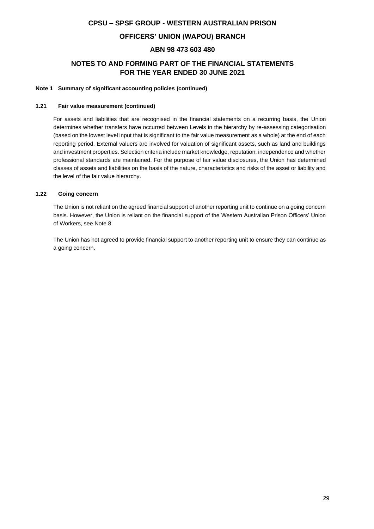### **OFFICERS' UNION (WAPOU) BRANCH**

### **ABN 98 473 603 480**

### **NOTES TO AND FORMING PART OF THE FINANCIAL STATEMENTS FOR THE YEAR ENDED 30 JUNE 2021**

#### **Note 1 Summary of significant accounting policies (continued)**

#### **1.21 Fair value measurement (continued)**

For assets and liabilities that are recognised in the financial statements on a recurring basis, the Union determines whether transfers have occurred between Levels in the hierarchy by re-assessing categorisation (based on the lowest level input that is significant to the fair value measurement as a whole) at the end of each reporting period. External valuers are involved for valuation of significant assets, such as land and buildings and investment properties. Selection criteria include market knowledge, reputation, independence and whether professional standards are maintained. For the purpose of fair value disclosures, the Union has determined classes of assets and liabilities on the basis of the nature, characteristics and risks of the asset or liability and the level of the fair value hierarchy.

#### **1.22 Going concern**

The Union is not reliant on the agreed financial support of another reporting unit to continue on a going concern basis. However, the Union is reliant on the financial support of the Western Australian Prison Officers' Union of Workers, see Note 8.

The Union has not agreed to provide financial support to another reporting unit to ensure they can continue as a going concern.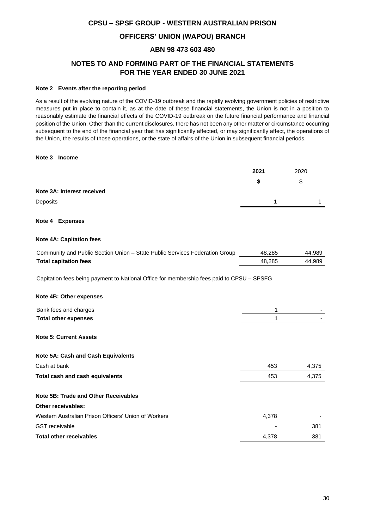### **OFFICERS' UNION (WAPOU) BRANCH**

### **ABN 98 473 603 480**

### **NOTES TO AND FORMING PART OF THE FINANCIAL STATEMENTS FOR THE YEAR ENDED 30 JUNE 2021**

#### **Note 2 Events after the reporting period**

As a result of the evolving nature of the COVID-19 outbreak and the rapidly evolving government policies of restrictive measures put in place to contain it, as at the date of these financial statements, the Union is not in a position to reasonably estimate the financial effects of the COVID-19 outbreak on the future financial performance and financial position of the Union. Other than the current disclosures, there has not been any other matter or circumstance occurring subsequent to the end of the financial year that has significantly affected, or may significantly affect, the operations of the Union, the results of those operations, or the state of affairs of the Union in subsequent financial periods.

#### **Note 3 Income**

|                            | 2021 | 2020 |
|----------------------------|------|------|
|                            |      | \$   |
| Note 3A: Interest received |      |      |
| Deposits                   | -1   |      |
|                            |      |      |

#### **Note 4 Expenses**

#### **Note 4A: Capitation fees**

| Community and Public Section Union - State Public Services Federation Group | 48.285 | 44.989 |
|-----------------------------------------------------------------------------|--------|--------|
| <b>Total capitation fees</b>                                                | 48.285 | 44.989 |

Capitation fees being payment to National Office for membership fees paid to CPSU – SPSFG

# **Note 4B: Other expenses** Bank fees and charges 1  $\sim$  1  $\sim$  1  $\sim$  1  $\sim$  1  $\sim$  1  $\sim$  1  $\sim$  1  $\sim$  1  $\sim$  1  $\sim$  1  $\sim$  1  $\sim$  1  $\sim$  1  $\sim$  1  $\sim$  1  $\sim$  1  $\sim$  1  $\sim$  1  $\sim$  1  $\sim$  1  $\sim$  1  $\sim$  1  $\sim$  1  $\sim$  1  $\sim$  1  $\sim$  1  $\sim$  1  $\sim$  1  $\$ **Total other expenses** 1 - **Note 5: Current Assets Note 5A: Cash and Cash Equivalents** Cash at bank 453 4,375 **Total cash and cash equivalents 1.375 1.453 4.375 Note 5B: Trade and Other Receivables Other receivables:** Western Australian Prison Officers' Union of Workers 4,378

|                                | .     |     |
|--------------------------------|-------|-----|
| GST receivable                 | -     | 381 |
| <b>Total other receivables</b> | 4.378 | 381 |
|                                |       |     |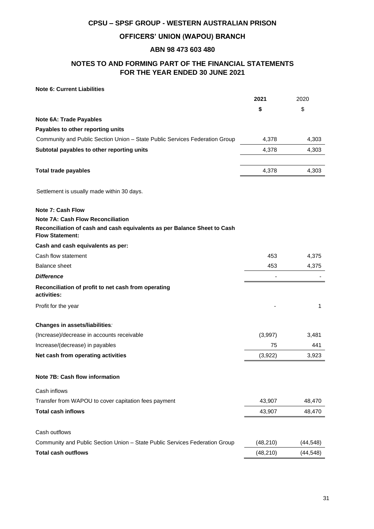### **OFFICERS' UNION (WAPOU) BRANCH**

### **ABN 98 473 603 480**

### **NOTES TO AND FORMING PART OF THE FINANCIAL STATEMENTS FOR THE YEAR ENDED 30 JUNE 2021**

### **Note 6: Current Liabilities**

|                                                                                                                                                | 2021      | 2020      |
|------------------------------------------------------------------------------------------------------------------------------------------------|-----------|-----------|
|                                                                                                                                                | \$        | \$        |
| <b>Note 6A: Trade Payables</b>                                                                                                                 |           |           |
| Payables to other reporting units                                                                                                              |           |           |
| Community and Public Section Union - State Public Services Federation Group                                                                    | 4,378     | 4,303     |
| Subtotal payables to other reporting units                                                                                                     | 4,378     | 4,303     |
| <b>Total trade payables</b>                                                                                                                    | 4,378     | 4,303     |
| Settlement is usually made within 30 days.                                                                                                     |           |           |
| <b>Note 7: Cash Flow</b>                                                                                                                       |           |           |
| <b>Note 7A: Cash Flow Reconciliation</b><br>Reconciliation of cash and cash equivalents as per Balance Sheet to Cash<br><b>Flow Statement:</b> |           |           |
| Cash and cash equivalents as per:                                                                                                              |           |           |
| Cash flow statement                                                                                                                            | 453       | 4,375     |
| <b>Balance sheet</b>                                                                                                                           | 453       | 4,375     |
| <b>Difference</b>                                                                                                                              |           |           |
| Reconciliation of profit to net cash from operating<br>activities:                                                                             |           |           |
| Profit for the year                                                                                                                            |           | 1         |
| Changes in assets/liabilities:                                                                                                                 |           |           |
| (Increase)/decrease in accounts receivable                                                                                                     | (3,997)   | 3,481     |
| Increase/(decrease) in payables                                                                                                                | 75        | 441       |
| Net cash from operating activities                                                                                                             | (3,922)   | 3,923     |
| Note 7B: Cash flow information                                                                                                                 |           |           |
| Cash inflows                                                                                                                                   |           |           |
| Transfer from WAPOU to cover capitation fees payment                                                                                           | 43,907    | 48,470    |
| <b>Total cash inflows</b>                                                                                                                      | 43,907    | 48,470    |
| Cash outflows                                                                                                                                  |           |           |
| Community and Public Section Union - State Public Services Federation Group                                                                    | (48, 210) | (44,548)  |
| <b>Total cash outflows</b>                                                                                                                     | (48, 210) | (44, 548) |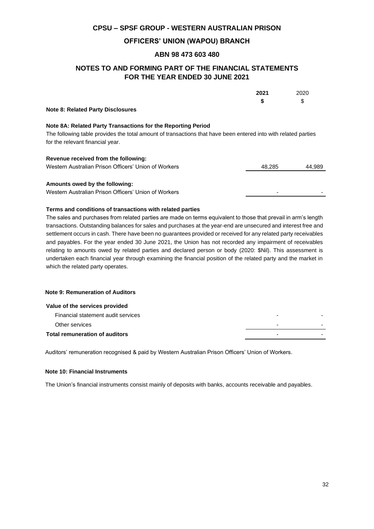### **OFFICERS' UNION (WAPOU) BRANCH**

### **ABN 98 473 603 480**

### **NOTES TO AND FORMING PART OF THE FINANCIAL STATEMENTS FOR THE YEAR ENDED 30 JUNE 2021**

|                                                                                                                | 2021   | 2020   |
|----------------------------------------------------------------------------------------------------------------|--------|--------|
|                                                                                                                | \$     | \$     |
| <b>Note 8: Related Party Disclosures</b>                                                                       |        |        |
| Note 8A: Related Party Transactions for the Reporting Period                                                   |        |        |
| The following table provides the total amount of transactions that have been entered into with related parties |        |        |
| for the relevant financial year.                                                                               |        |        |
| Revenue received from the following:                                                                           |        |        |
| Western Australian Prison Officers' Union of Workers                                                           | 48,285 | 44.989 |
|                                                                                                                |        |        |
| Amounts owed by the following:                                                                                 |        |        |

Western Australian Prison Officers' Union of Workers - -

#### **Terms and conditions of transactions with related parties**

The sales and purchases from related parties are made on terms equivalent to those that prevail in arm's length transactions. Outstanding balances for sales and purchases at the year-end are unsecured and interest free and settlement occurs in cash. There have been no guarantees provided or received for any related party receivables and payables. For the year ended 30 June 2021, the Union has not recorded any impairment of receivables relating to amounts owed by related parties and declared person or body (2020: \$Nil). This assessment is undertaken each financial year through examining the financial position of the related party and the market in which the related party operates.

#### **Note 9: Remuneration of Auditors**

| Value of the services provided        |   |  |
|---------------------------------------|---|--|
| Financial statement audit services    |   |  |
| Other services                        | - |  |
| <b>Total remuneration of auditors</b> |   |  |
|                                       |   |  |

Auditors' remuneration recognised & paid by Western Australian Prison Officers' Union of Workers.

#### **Note 10: Financial Instruments**

The Union's financial instruments consist mainly of deposits with banks, accounts receivable and payables.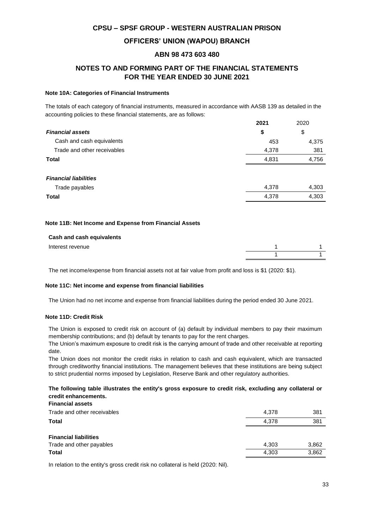### **OFFICERS' UNION (WAPOU) BRANCH**

#### **ABN 98 473 603 480**

### **NOTES TO AND FORMING PART OF THE FINANCIAL STATEMENTS FOR THE YEAR ENDED 30 JUNE 2021**

#### **Note 10A: Categories of Financial Instruments**

The totals of each category of financial instruments, measured in accordance with AASB 139 as detailed in the accounting policies to these financial statements, are as follows:

|                              | 2021  | 2020  |
|------------------------------|-------|-------|
| <b>Financial assets</b>      | \$    | \$    |
| Cash and cash equivalents    | 453   | 4,375 |
| Trade and other receivables  | 4,378 | 381   |
| <b>Total</b>                 | 4,831 | 4,756 |
|                              |       |       |
| <b>Financial liabilities</b> |       |       |
| Trade payables               | 4,378 | 4,303 |
| <b>Total</b>                 | 4,378 | 4,303 |
|                              |       |       |

#### **Note 11B: Net Income and Expense from Financial Assets**

| Cash and cash equivalents |  |
|---------------------------|--|
| Interest revenue          |  |
|                           |  |

The net income/expense from financial assets not at fair value from profit and loss is \$1 (2020: \$1).

#### **Note 11C: Net income and expense from financial liabilities**

The Union had no net income and expense from financial liabilities during the period ended 30 June 2021.

#### **Note 11D: Credit Risk**

The Union is exposed to credit risk on account of (a) default by individual members to pay their maximum membership contributions; and (b) default by tenants to pay for the rent charges.

The Union's maximum exposure to credit risk is the carrying amount of trade and other receivable at reporting date.

The Union does not monitor the credit risks in relation to cash and cash equivalent, which are transacted through creditworthy financial institutions. The management believes that these institutions are being subject to strict prudential norms imposed by Legislation, Reserve Bank and other regulatory authorities.

#### **The following table illustrates the entity's gross exposure to credit risk, excluding any collateral or credit enhancements. Financial assets**

| Financial assets             |       |       |
|------------------------------|-------|-------|
| Trade and other receivables  | 4.378 | 381   |
| Total                        | 4.378 | 381   |
| <b>Financial liabilities</b> |       |       |
| Trade and other payables     | 4.303 | 3,862 |
| Total                        | 4,303 | 3,862 |

In relation to the entity's gross credit risk no collateral is held (2020: Nil).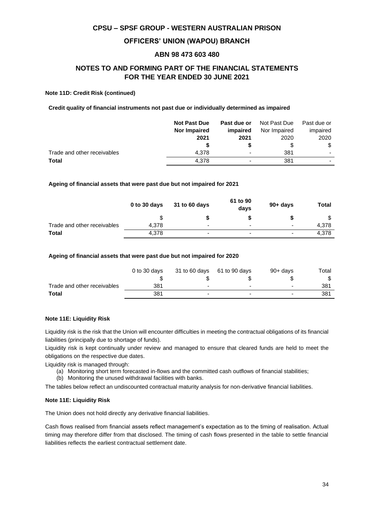#### **OFFICERS' UNION (WAPOU) BRANCH**

#### **ABN 98 473 603 480**

### **NOTES TO AND FORMING PART OF THE FINANCIAL STATEMENTS FOR THE YEAR ENDED 30 JUNE 2021**

#### **Note 11D: Credit Risk (continued)**

**Credit quality of financial instruments not past due or individually determined as impaired**

|                             | <b>Not Past Due</b> | Past due or | Not Past Due | Past due or |
|-----------------------------|---------------------|-------------|--------------|-------------|
|                             | Nor Impaired        | impaired    | Nor Impaired | impaired    |
|                             | 2021                | 2021        | 2020         | 2020        |
|                             |                     |             | \$           | \$          |
| Trade and other receivables | 4.378               | -           | 381          |             |
| <b>Total</b>                | 4.378               | ۰           | 381          |             |

#### **Ageing of financial assets that were past due but not impaired for 2021**

|                             | 0 to 30 days | 31 to 60 days            | 61 to 90<br>days         | $90 + days$              | Total |
|-----------------------------|--------------|--------------------------|--------------------------|--------------------------|-------|
|                             |              |                          |                          |                          |       |
| Trade and other receivables | 4.378        | -                        | -                        | -                        | 4.378 |
| <b>Total</b>                | 4.378        | $\overline{\phantom{0}}$ | $\overline{\phantom{0}}$ | $\overline{\phantom{0}}$ | 4.378 |

#### **Ageing of financial assets that were past due but not impaired for 2020**

|                             | 0 to 30 days | 31 to 60 days 61 to 90 days | $90+$ davs | Total |
|-----------------------------|--------------|-----------------------------|------------|-------|
|                             |              |                             |            | \$    |
| Trade and other receivables | 381          |                             |            | 381   |
| Total                       | 381          |                             |            | 381   |

#### **Note 11E: Liquidity Risk**

Liquidity risk is the risk that the Union will encounter difficulties in meeting the contractual obligations of its financial liabilities (principally due to shortage of funds).

Liquidity risk is kept continually under review and managed to ensure that cleared funds are held to meet the obligations on the respective due dates.

Liquidity risk is managed through:

- (a) Monitoring short term forecasted in-flows and the committed cash outflows of financial stabilities;
- (b) Monitoring the unused withdrawal facilities with banks.

The tables below reflect an undiscounted contractual maturity analysis for non-derivative financial liabilities.

#### **Note 11E: Liquidity Risk**

The Union does not hold directly any derivative financial liabilities.

Cash flows realised from financial assets reflect management's expectation as to the timing of realisation. Actual timing may therefore differ from that disclosed. The timing of cash flows presented in the table to settle financial liabilities reflects the earliest contractual settlement date.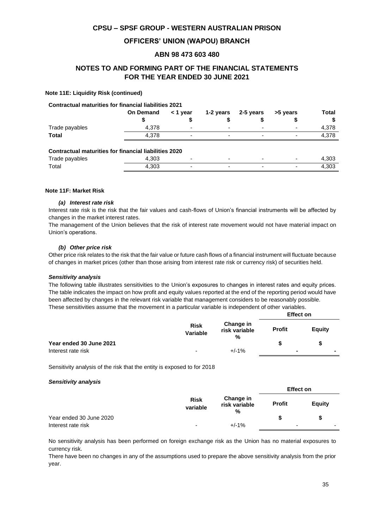### **OFFICERS' UNION (WAPOU) BRANCH**

#### **ABN 98 473 603 480**

### **NOTES TO AND FORMING PART OF THE FINANCIAL STATEMENTS FOR THE YEAR ENDED 30 JUNE 2021**

#### **Note 11E: Liquidity Risk (continued)**

#### **Contractual maturities for financial liabilities 2021**

|                | <b>On Demand</b> | < 1 year                 |                          | 1-2 years 2-5 years      | >5 years                 | Total |
|----------------|------------------|--------------------------|--------------------------|--------------------------|--------------------------|-------|
|                |                  |                          |                          |                          |                          |       |
| Trade payables | 4.378            | $\overline{\phantom{0}}$ | $\overline{\phantom{a}}$ | $\overline{\phantom{a}}$ | $\overline{\phantom{0}}$ | 4.378 |
| <b>Total</b>   | 4.378            | -                        | $\overline{\phantom{0}}$ | $\overline{\phantom{0}}$ | -                        | 4.378 |
|                |                  |                          |                          |                          |                          |       |

#### **Contractual maturities for financial liabilities 2020**

| Trade payables | $\sim$<br>.JUS |  |  | 1.303 |
|----------------|----------------|--|--|-------|
| Total          | $\sim$<br>ა∪ა  |  |  | 1.303 |

#### **Note 11F: Market Risk**

#### *(a) Interest rate risk*

Interest rate risk is the risk that the fair values and cash-flows of Union's financial instruments will be affected by changes in the market interest rates.

The management of the Union believes that the risk of interest rate movement would not have material impact on Union's operations.

#### *(b) Other price risk*

Other price risk relates to the risk that the fair value or future cash flows of a financial instrument will fluctuate because of changes in market prices (other than those arising from interest rate risk or currency risk) of securities held.

#### *Sensitivity analysis*

The following table illustrates sensitivities to the Union's exposures to changes in interest rates and equity prices. The table indicates the impact on how profit and equity values reported at the end of the reporting period would have been affected by changes in the relevant risk variable that management considers to be reasonably possible. These sensitivities assume that the movement in a particular variable is independent of other variables.

|                         |                                |                                 | <b>Effect on</b> |               |
|-------------------------|--------------------------------|---------------------------------|------------------|---------------|
|                         | <b>Risk</b><br><b>Variable</b> | Change in<br>risk variable<br>% | <b>Profit</b>    | <b>Equity</b> |
| Year ended 30 June 2021 |                                |                                 |                  | S             |
| Interest rate risk      | $\overline{\phantom{0}}$       | $+/-1%$                         | $\blacksquare$   |               |

Sensitivity analysis of the risk that the entity is exposed to for 2018

#### *Sensitivity analysis*

|                         | <b>Risk</b><br>variable | Change in<br>risk variable<br>% | <b>Effect on</b> |        |
|-------------------------|-------------------------|---------------------------------|------------------|--------|
|                         |                         |                                 | <b>Profit</b>    | Equity |
| Year ended 30 June 2020 |                         |                                 |                  | Ŝ.     |
| Interest rate risk      | -                       | $+/-1%$                         | -                |        |

No sensitivity analysis has been performed on foreign exchange risk as the Union has no material exposures to currency risk.

There have been no changes in any of the assumptions used to prepare the above sensitivity analysis from the prior year.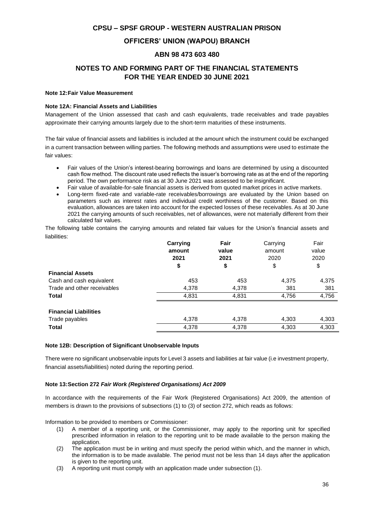### **OFFICERS' UNION (WAPOU) BRANCH**

#### **ABN 98 473 603 480**

### **NOTES TO AND FORMING PART OF THE FINANCIAL STATEMENTS FOR THE YEAR ENDED 30 JUNE 2021**

#### **Note 12:Fair Value Measurement**

#### **Note 12A: Financial Assets and Liabilities**

Management of the Union assessed that cash and cash equivalents, trade receivables and trade payables approximate their carrying amounts largely due to the short-term maturities of these instruments.

The fair value of financial assets and liabilities is included at the amount which the instrument could be exchanged in a current transaction between willing parties. The following methods and assumptions were used to estimate the fair values:

- Fair values of the Union's interest-bearing borrowings and loans are determined by using a discounted cash flow method. The discount rate used reflects the issuer's borrowing rate as at the end of the reporting period. The own performance risk as at 30 June 2021 was assessed to be insignificant.
- Fair value of available-for-sale financial assets is derived from quoted market prices in active markets.
- Long-term fixed-rate and variable-rate receivables/borrowings are evaluated by the Union based on parameters such as interest rates and individual credit worthiness of the customer. Based on this evaluation, allowances are taken into account for the expected losses of these receivables. As at 30 June 2021 the carrying amounts of such receivables, net of allowances, were not materially different from their calculated fair values.

The following table contains the carrying amounts and related fair values for the Union's financial assets and liabilities:

|                              | Carrying<br>amount | Fair<br>value | Carrying<br>amount<br>2020 | Fair<br>value<br>2020 |
|------------------------------|--------------------|---------------|----------------------------|-----------------------|
|                              | 2021               | 2021          |                            |                       |
|                              | \$                 | \$            | \$                         | \$                    |
| <b>Financial Assets</b>      |                    |               |                            |                       |
| Cash and cash equivalent     | 453                | 453           | 4,375                      | 4,375                 |
| Trade and other receivables  | 4,378              | 4,378         | 381                        | 381                   |
| <b>Total</b>                 | 4,831              | 4,831         | 4,756                      | 4,756                 |
|                              |                    |               |                            |                       |
| <b>Financial Liabilities</b> |                    |               |                            |                       |
| Trade payables               | 4,378              | 4,378         | 4,303                      | 4,303                 |
| <b>Total</b>                 | 4,378              | 4,378         | 4,303                      | 4,303                 |

#### **Note 12B: Description of Significant Unobservable Inputs**

There were no significant unobservable inputs for Level 3 assets and liabilities at fair value (i.e investment property, financial assets/liabilities) noted during the reporting period.

#### **Note 13:Section 272** *Fair Work (Registered Organisations) Act 2009*

In accordance with the requirements of the Fair Work (Registered Organisations) Act 2009, the attention of members is drawn to the provisions of subsections (1) to (3) of section 272, which reads as follows:

Information to be provided to members or Commissioner:

- (1) A member of a reporting unit, or the Commissioner, may apply to the reporting unit for specified prescribed information in relation to the reporting unit to be made available to the person making the application.
- (2) The application must be in writing and must specify the period within which, and the manner in which, the information is to be made available. The period must not be less than 14 days after the application is given to the reporting unit.
- (3) A reporting unit must comply with an application made under subsection (1).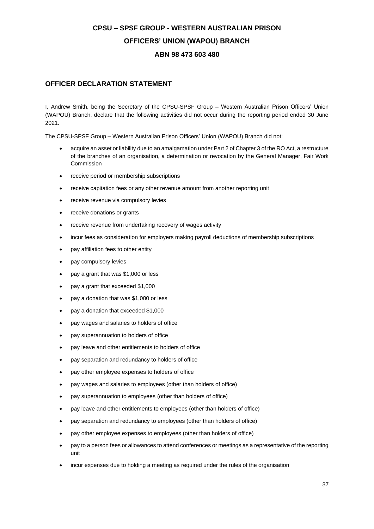## **CPSU – SPSF GROUP - WESTERN AUSTRALIAN PRISON OFFICERS' UNION (WAPOU) BRANCH ABN 98 473 603 480**

### **OFFICER DECLARATION STATEMENT**

I, Andrew Smith, being the Secretary of the CPSU-SPSF Group – Western Australian Prison Officers' Union (WAPOU) Branch, declare that the following activities did not occur during the reporting period ended 30 June 2021.

The CPSU-SPSF Group – Western Australian Prison Officers' Union (WAPOU) Branch did not:

- acquire an asset or liability due to an amalgamation under Part 2 of Chapter 3 of the RO Act, a restructure of the branches of an organisation, a determination or revocation by the General Manager, Fair Work Commission
- receive period or membership subscriptions
- receive capitation fees or any other revenue amount from another reporting unit
- receive revenue via compulsory levies
- receive donations or grants
- receive revenue from undertaking recovery of wages activity
- incur fees as consideration for employers making payroll deductions of membership subscriptions
- pay affiliation fees to other entity
- pay compulsory levies
- pay a grant that was \$1,000 or less
- pay a grant that exceeded \$1,000
- pay a donation that was \$1,000 or less
- pay a donation that exceeded \$1,000
- pay wages and salaries to holders of office
- pay superannuation to holders of office
- pay leave and other entitlements to holders of office
- pay separation and redundancy to holders of office
- pay other employee expenses to holders of office
- pay wages and salaries to employees (other than holders of office)
- pay superannuation to employees (other than holders of office)
- pay leave and other entitlements to employees (other than holders of office)
- pay separation and redundancy to employees (other than holders of office)
- pay other employee expenses to employees (other than holders of office)
- pay to a person fees or allowances to attend conferences or meetings as a representative of the reporting unit
- incur expenses due to holding a meeting as required under the rules of the organisation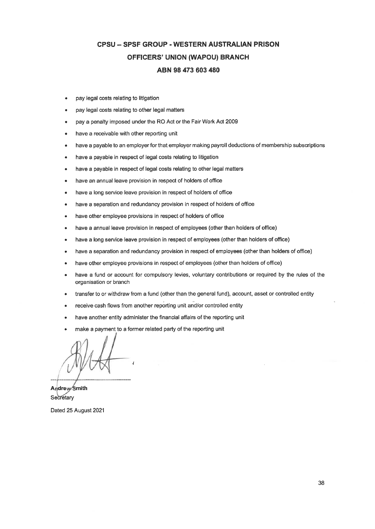## **CPSU - SPSF GROUP - WESTERN AUSTRALIAN PRISON** OFFICERS' UNION (WAPOU) BRANCH ABN 98 473 603 480

- pay legal costs relating to litigation ٠
- pay legal costs relating to other legal matters
- pay a penalty imposed under the RO Act or the Fair Work Act 2009
- have a receivable with other reporting unit  $\bullet$
- have a payable to an employer for that employer making payroll deductions of membership subscriptions  $\blacksquare$
- have a payable in respect of legal costs relating to litigation
- have a payable in respect of legal costs relating to other legal matters  $\bullet$
- have an annual leave provision in respect of holders of office  $\bullet$
- have a long service leave provision in respect of holders of office
- have a separation and redundancy provision in respect of holders of office
- have other employee provisions in respect of holders of office  $\blacksquare$
- have a annual leave provision in respect of employees (other than holders of office)
- have a long service leave provision in respect of employees (other than holders of office)
- have a separation and redundancy provision in respect of employees (other than holders of office)
- have other employee provisions in respect of employees (other than holders of office)
- have a fund or account for compulsory levies, voluntary contributions or required by the rules of the organisation or branch
- transfer to or withdraw from a fund (other than the general fund), account, asset or controlled entity
- receive cash flows from another reporting unit and/or controlled entity
- have another entity administer the financial affairs of the reporting unit
- make a payment to a former related party of the reporting unit

Andrew Smith Secretary

Dated 25 August 2021